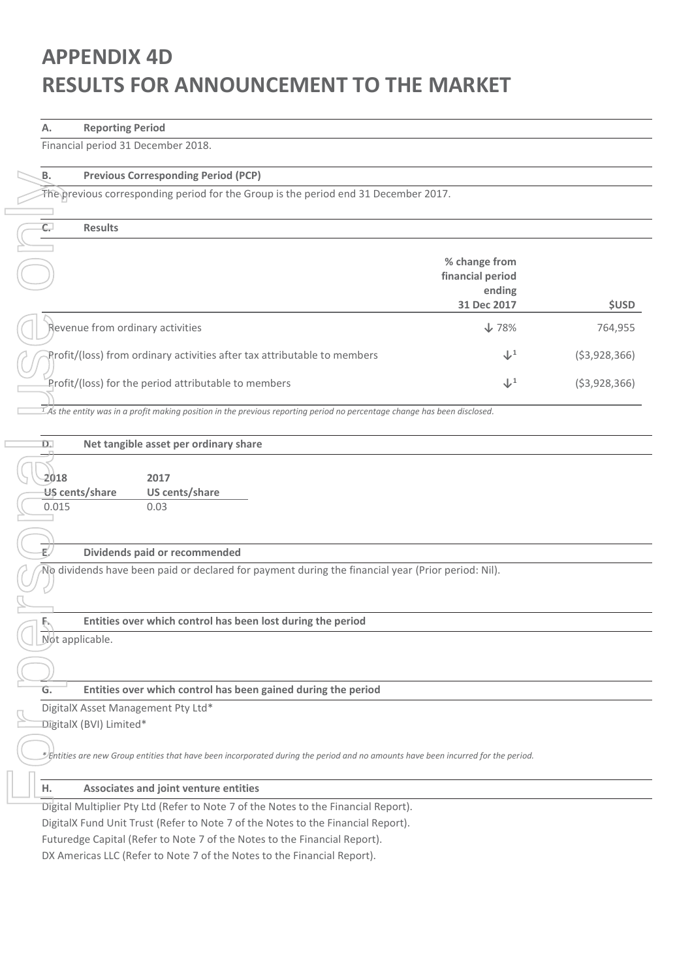# **APPENDIX 4D RESULTS FOR ANNOUNCEMENT TO THE MARKET**

### **A. Reporting Period**

Financial period 31 December 2018.

| ь. | <b>Previ</b>   |
|----|----------------|
|    | The previous o |
|    |                |
| Ċ. | <b>Resu</b>    |
|    |                |
|    |                |

### **B. Previous Corresponding Period (PCP)**

### **C. Results**

| The previous corresponding period for the Group is the period end 31 December 2017.                                                                  |                                                            |                |
|------------------------------------------------------------------------------------------------------------------------------------------------------|------------------------------------------------------------|----------------|
| $\overline{C}$<br><b>Results</b>                                                                                                                     |                                                            |                |
|                                                                                                                                                      |                                                            |                |
|                                                                                                                                                      | % change from<br>financial period<br>ending<br>31 Dec 2017 | <b>\$USD</b>   |
| Revenue from ordinary activities                                                                                                                     | $\sqrt{78\%}$                                              | 764,955        |
| Profit/(loss) from ordinary activities after tax attributable to members                                                                             | $\downarrow^1$                                             | ( \$3,928,366) |
| Profit/(loss) for the period attributable to members                                                                                                 | $\downarrow^1$                                             | ( \$3,928,366) |
| $\frac{1}{2}$ As the entity was in a profit making position in the previous reporting period no percentage change has been disclosed.                |                                                            |                |
| D.<br>Net tangible asset per ordinary share                                                                                                          |                                                            |                |
| 2018<br>2017<br>US cents/share<br>US cents/share<br>0.015<br>0.03                                                                                    |                                                            |                |
| ť.<br>Dividends paid or recommended                                                                                                                  |                                                            |                |
| No dividends have been paid or declared for payment during the financial year (Prior period: Nil).                                                   |                                                            |                |
|                                                                                                                                                      |                                                            |                |
| Entities over which control has been lost during the period<br>F.                                                                                    |                                                            |                |
| Not applicable.                                                                                                                                      |                                                            |                |
|                                                                                                                                                      |                                                            |                |
| Entities over which control has been gained during the period<br>G.                                                                                  |                                                            |                |
| DigitalX Asset Management Pty Ltd*                                                                                                                   |                                                            |                |
| DigitalX (BVI) Limited*                                                                                                                              |                                                            |                |
| $\mathscr I$ chtities are new Group entities that have been incorporated during the period and no amounts have been incurred for the period.         |                                                            |                |
| Associates and joint venture entities<br>н.                                                                                                          |                                                            |                |
| Digital Multiplier Pty Ltd (Refer to Note 7 of the Notes to the Financial Report).                                                                   |                                                            |                |
| DigitalX Fund Unit Trust (Refer to Note 7 of the Notes to the Financial Report).                                                                     |                                                            |                |
| Futuredge Capital (Refer to Note 7 of the Notes to the Financial Report).<br>DX Americas LLC (Refer to Note 7 of the Notes to the Financial Report). |                                                            |                |

### **D. Net tangible asset per ordinary share**

### **E. Dividends paid or recommended**

### **H. Associates and joint venture entities**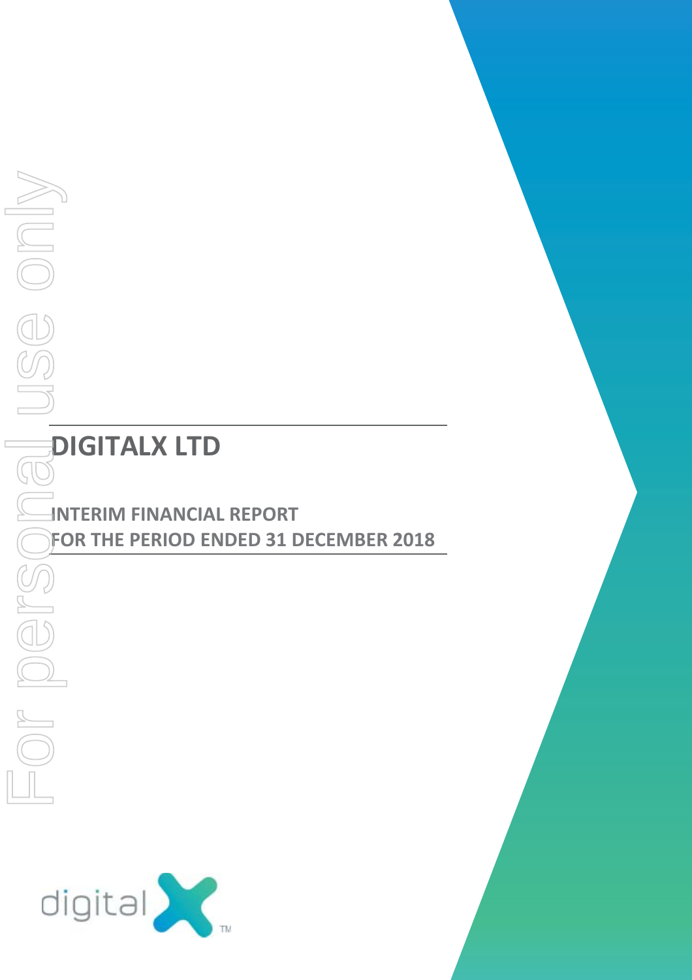# **DIGITALX LTD**

# **INTERIM FINANCIAL REPORT FOR THE PERIOD ENDED 31 DECEMBER 2018**<br> **FOR THE PERIOD ENDED 31 DECEMBER 2018**<br> **FOR THE PERIOD ENDED 31 DECEMBER 2018**

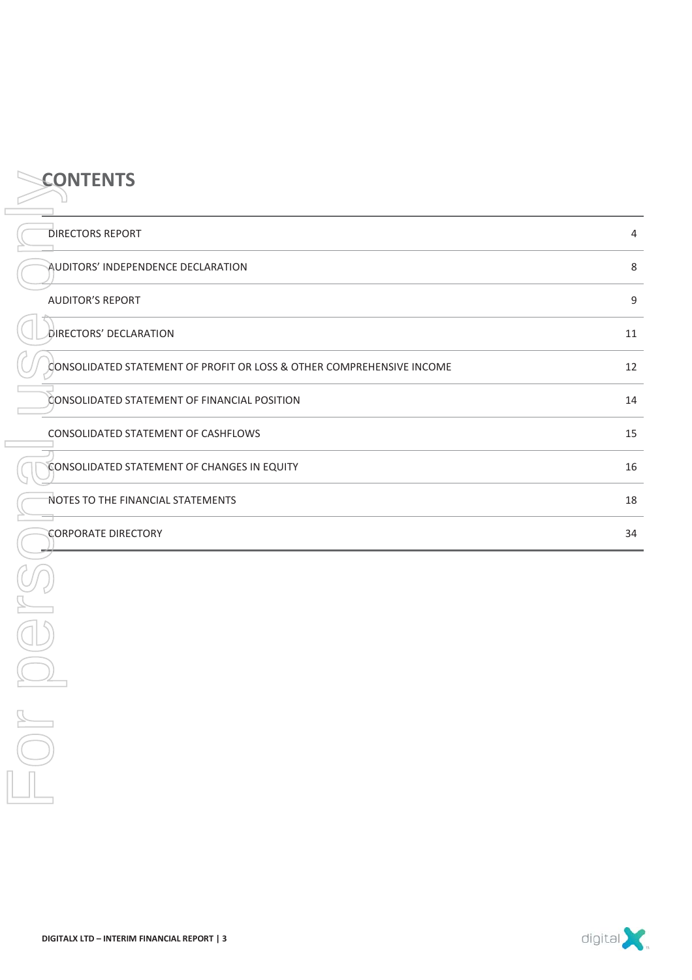| <b>CONTENTS</b>                                                       |             |
|-----------------------------------------------------------------------|-------------|
| <b>DIRECTORS REPORT</b>                                               | 4           |
| AUDITORS' INDEPENDENCE DECLARATION                                    | $\,8\,$     |
| <b>AUDITOR'S REPORT</b>                                               | $\mathsf g$ |
| DIRECTORS' DECLARATION                                                | 11          |
| CONSOLIDATED STATEMENT OF PROFIT OR LOSS & OTHER COMPREHENSIVE INCOME | 12          |
| CONSOLIDATED STATEMENT OF FINANCIAL POSITION                          | 14          |
| CONSOLIDATED STATEMENT OF CASHFLOWS                                   | 15          |
| CONSOLIDATED STATEMENT OF CHANGES IN EQUITY                           | 16          |
| NOTES TO THE FINANCIAL STATEMENTS                                     | 18          |
| <b>CORPORATE DIRECTORY</b>                                            | 34          |
|                                                                       |             |
|                                                                       |             |
|                                                                       |             |
| $\sim$                                                                |             |
|                                                                       |             |



**CONTENTS**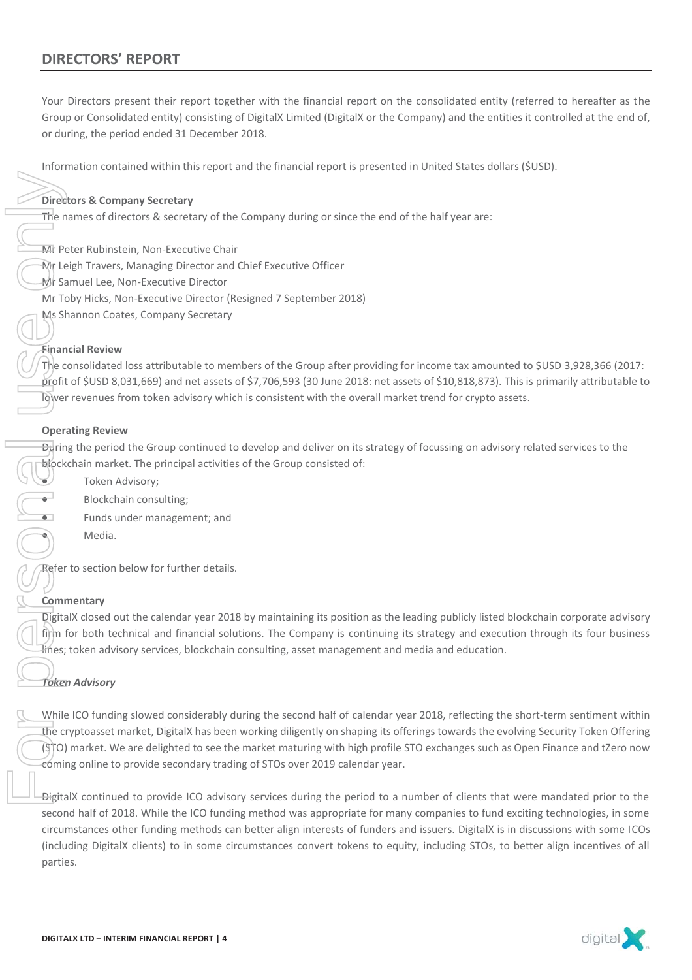Information contained within this report and the financial report is presented in United States dollars (\$USD).

### **Directors & Company Secretary**

The names of directors & secretary of the Company during or since the end of the half year are:

- Mr Peter Rubinstein, Non-Executive Chair
- Mr Leigh Travers, Managing Director and Chief Executive Officer
- Mr Samuel Lee, Non-Executive Director
- Mr Toby Hicks, Non-Executive Director (Resigned 7 September 2018)
- Ms Shannon Coates, Company Secretary

### **Financial Review**

The consolidated loss attributable to members of the Group after providing for income tax amounted to \$USD 3,928,366 (2017: profit of \$USD 8,031,669) and net assets of \$7,706,593 (30 June 2018: net assets of \$10,818,873). This is primarily attributable to lower revenues from token advisory which is consistent with the overall market trend for crypto assets.

### **Operating Review**

During the period the Group continued to develop and deliver on its strategy of focussing on advisory related services to the blockchain market. The principal activities of the Group consisted of:

- Token Advisory;
- Blockchain consulting;
- Funds under management; and
- Media.

Refer to section below for further details.

### **Commentary**

DigitalX closed out the calendar year 2018 by maintaining its position as the leading publicly listed blockchain corporate advisory firm for both technical and financial solutions. The Company is continuing its strategy and execution through its four business lines; token advisory services, blockchain consulting, asset management and media and education.

### *Token Advisory*

While ICO funding slowed considerably during the second half of calendar year 2018, reflecting the short-term sentiment within the cryptoasset market, DigitalX has been working diligently on shaping its offerings towards the evolving Security Token Offering (STO) market. We are delighted to see the market maturing with high profile STO exchanges such as Open Finance and tZero now coming online to provide secondary trading of STOs over 2019 calendar year. Director<br>
The name of the Fight Same<br>
Mr Toby Ms Shar<br>
Mr Toby Ms Shar<br>
Mr Toby Ms Shar<br>
Financia<br>
The conly Share<br>
Personal Personal Person<br>
Digital X<br>
The conme<br>
Digital X<br>
The cryp<br>
Comme Digital X<br>
The cryp<br>
Comme Digi

DigitalX continued to provide ICO advisory services during the period to a number of clients that were mandated prior to the second half of 2018. While the ICO funding method was appropriate for many companies to fund exciting technologies, in some circumstances other funding methods can better align interests of funders and issuers. DigitalX is in discussions with some ICOs (including DigitalX clients) to in some circumstances convert tokens to equity, including STOs, to better align incentives of all parties.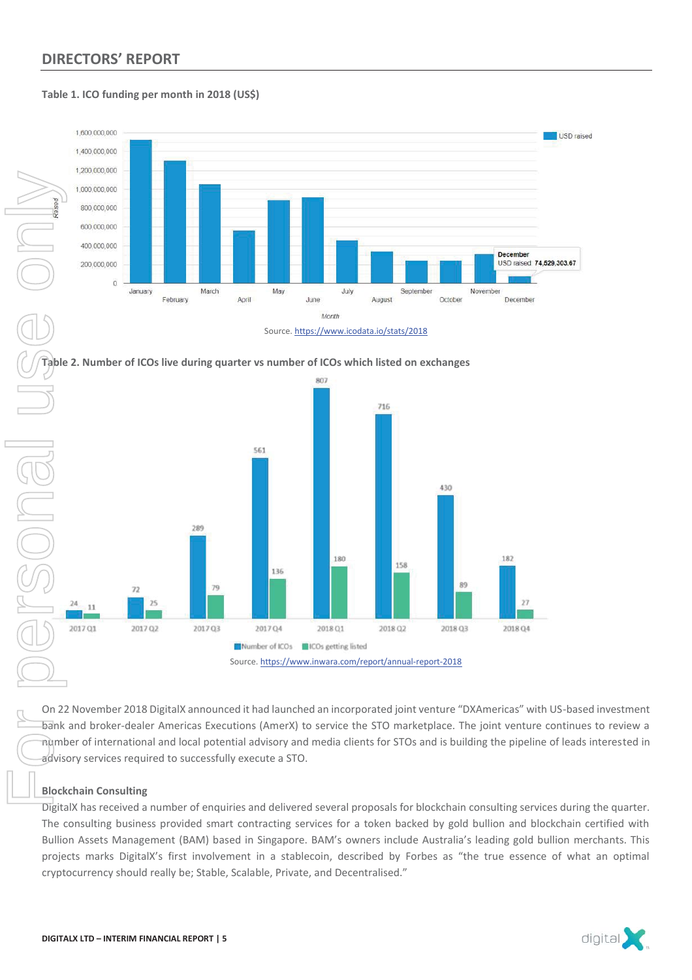### **Table 1. ICO funding per month in 2018 (US\$)**









On 22 November 2018 DigitalX announced it had launched an incorporated joint venture "DXAmericas" with US-based investment bank and broker-dealer Americas Executions (AmerX) to service the STO marketplace. The joint venture continues to review a number of international and local potential advisory and media clients for STOs and is building the pipeline of leads interested in advisory services required to successfully execute a STO.

### **Blockchain Consulting**

DigitalX has received a number of enquiries and delivered several proposals for blockchain consulting services during the quarter. The consulting business provided smart contracting services for a token backed by gold bullion and blockchain certified with Bullion Assets Management (BAM) based in Singapore. BAM's owners include Australia's leading gold bullion merchants. This projects marks DigitalX's first involvement in a stablecoin, described by Forbes as "the true essence of what an optimal

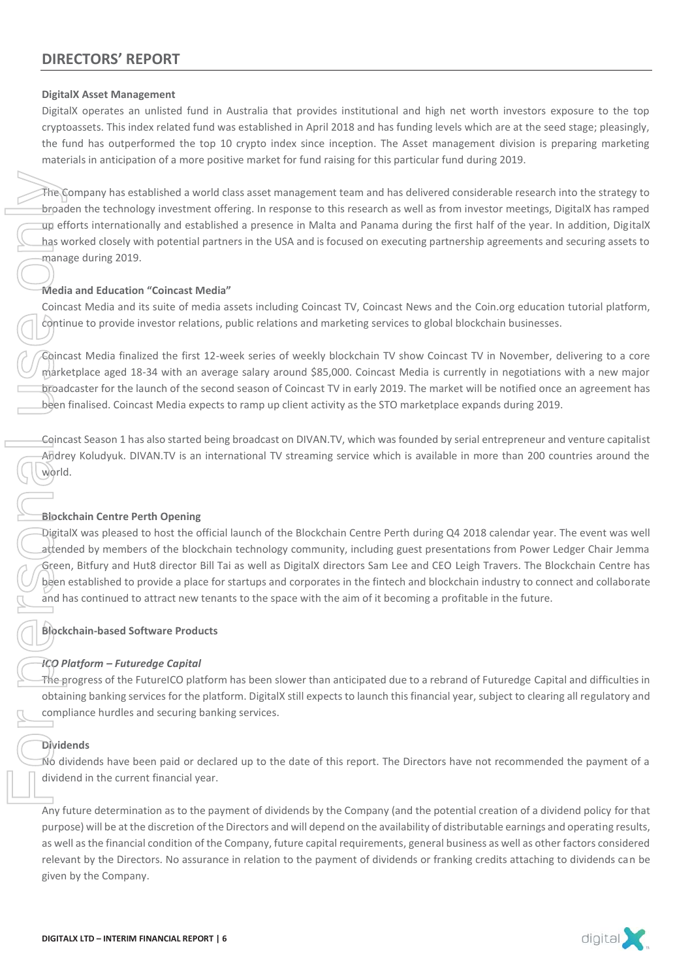### **DigitalX Asset Management**

DigitalX operates an unlisted fund in Australia that provides institutional and high net worth investors exposure to the top cryptoassets. This index related fund was established in April 2018 and has funding levels which are at the seed stage; pleasingly, the fund has outperformed the top 10 crypto index since inception. The Asset management division is preparing marketing materials in anticipation of a more positive market for fund raising for this particular fund during 2019.

The Company has established a world class asset management team and has delivered considerable research into the strategy to broaden the technology investment offering. In response to this research as well as from investor meetings, DigitalX has ramped up efforts internationally and established a presence in Malta and Panama during the first half of the year. In addition, DigitalX has worked closely with potential partners in the USA and is focused on executing partnership agreements and securing assets to manage during 2019. The Company has estably with the Company of the technology up efforts international chase worked closely with manage during 2019.<br> **Media and Education** "Coincast Media and its contrinue to provide inv<br>
Coincast Media fina

### **Media and Education "Coincast Media"**

Coincast Media and its suite of media assets including Coincast TV, Coincast News and the Coin.org education tutorial platform, continue to provide investor relations, public relations and marketing services to global blockchain businesses.

Coincast Media finalized the first 12-week series of weekly blockchain TV show Coincast TV in November, delivering to a core marketplace aged 18-34 with an average salary around \$85,000. Coincast Media is currently in negotiations with a new major broadcaster for the launch of the second season of Coincast TV in early 2019. The market will be notified once an agreement has been finalised. Coincast Media expects to ramp up client activity as the STO marketplace expands during 2019.

Coincast Season 1 has also started being broadcast on DIVAN.TV, which was founded by serial entrepreneur and venture capitalist Andrey Koludyuk. DIVAN.TV is an international TV streaming service which is available in more than 200 countries around the world.

### **Blockchain Centre Perth Opening**

DigitalX was pleased to host the official launch of the Blockchain Centre Perth during Q4 2018 calendar year. The event was well attended by members of the blockchain technology community, including guest presentations from Power Ledger Chair Jemma Green, Bitfury and Hut8 director Bill Tai as well as DigitalX directors Sam Lee and CEO Leigh Travers. The Blockchain Centre has been established to provide a place for startups and corporates in the fintech and blockchain industry to connect and collaborate and has continued to attract new tenants to the space with the aim of it becoming a profitable in the future.

### **Blockchain-based Software Products**

### *ICO Platform – Futuredge Capital*

The progress of the FutureICO platform has been slower than anticipated due to a rebrand of Futuredge Capital and difficulties in obtaining banking services for the platform. DigitalX still expects to launch this financial year, subject to clearing all regulatory and compliance hurdles and securing banking services.

### **Dividends**

No dividends have been paid or declared up to the date of this report. The Directors have not recommended the payment of a dividend in the current financial year.

Any future determination as to the payment of dividends by the Company (and the potential creation of a dividend policy for that purpose) will be at the discretion of the Directors and will depend on the availability of distributable earnings and operating results, as well as the financial condition of the Company, future capital requirements, general business as well as other factors considered relevant by the Directors. No assurance in relation to the payment of dividends or franking credits attaching to dividends can be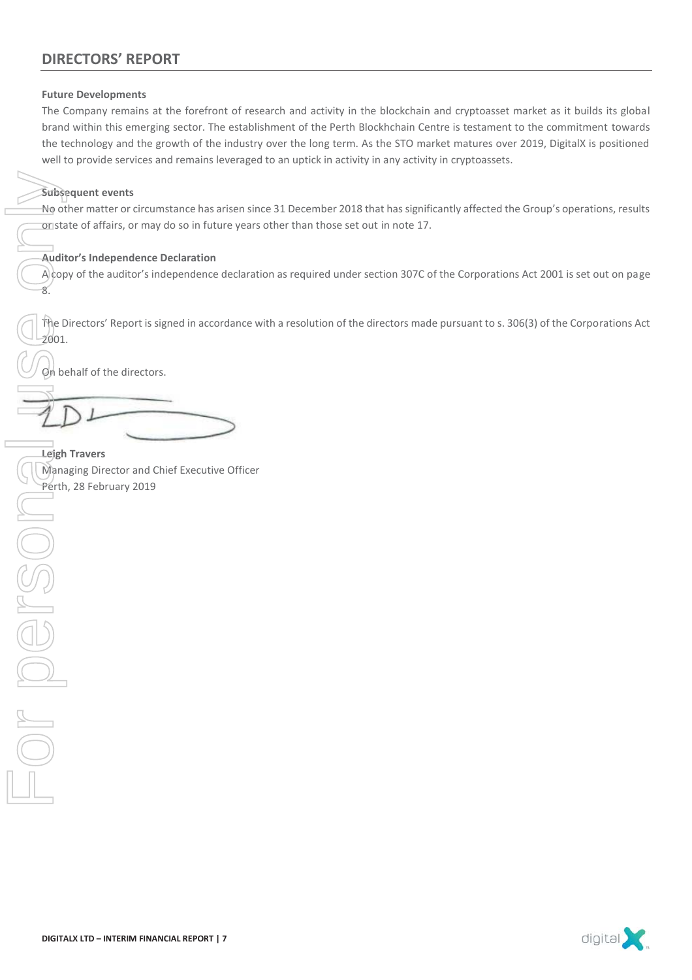### **Future Developments**

The Company remains at the forefront of research and activity in the blockchain and cryptoasset market as it builds its global brand within this emerging sector. The establishment of the Perth Blockhchain Centre is testament to the commitment towards the technology and the growth of the industry over the long term. As the STO market matures over 2019, DigitalX is positioned well to provide services and remains leveraged to an uptick in activity in any activity in cryptoassets.

### **Subsequent events**

No other matter or circumstance has arisen since 31 December 2018 that has significantly affected the Group's operations, results or state of affairs, or may do so in future years other than those set out in note 17.

### **Auditor's Independence Declaration**

 $\hat{A}$ copy of the auditor's independence declaration as required under section 307C of the Corporations Act 2001 is set out on page 8.

The Directors' Report is signed in accordance with a resolution of the directors made pursuant to s. 306(3) of the Corporations Act 2001.

On behalf of the directors.

**Leigh Travers**  Managing Director and Chief Executive Officer

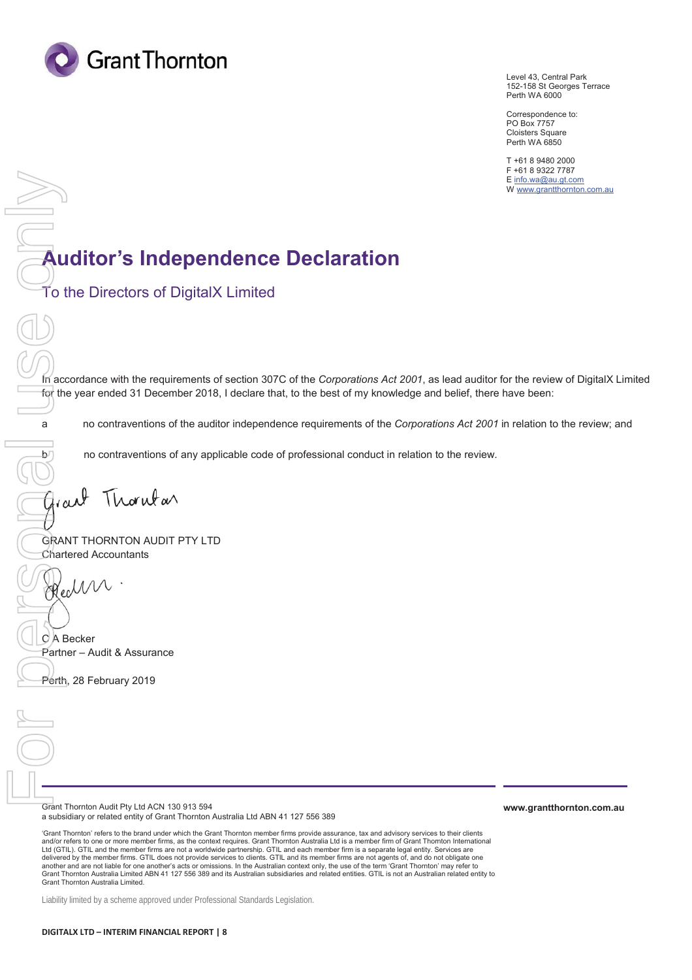

Level 43, Central Park 152-158 St Georges Terrace Perth WA 6000

Correspondence to: PO Box 7757 Cloisters Square Perth WA 6850

T +61 8 9480 2000 F +61 8 9322 7787 E info.wa@au.gt.com W www.grantthornton.com.au

## **Auditor's Independence Declaration**

To the Directors of DigitalX Limited

In accordance with the requirements of section 307C of the *Corporations Act 2001*, as lead auditor for the review of DigitalX Limited for the year ended 31 December 2018, I declare that, to the best of my knowledge and belief, there have been:

a no contraventions of the auditor independence requirements of the *Corporations Act 2001* in relation to the review; and

 $b<sub>1</sub>$  no contraventions of any applicable code of professional conduct in relation to the review.

GRANT THORNTON AUDIT PTY LTD Chartered Accountants **Public The Directors only in accordance with the refer the year ended 31 De**<br> **Public The year ended 31 De**<br> **Public The year ended 31 De**<br> **Public The Value of The Value Only on Contravention**<br> **Perth, 28 February 2019**<br>

C A Becker Partner – Audit & Assurance

Grant Thornton Audit Pty Ltd ACN 130 913 594 a subsidiary or related entity of Grant Thornton Australia Ltd ABN 41 127 556 389

'Grant Thornton' refers to the brand under which the Grant Thornton member firms provide assurance, tax and advisory services to their clients and/or refers to one or more member firms, as the context requires. Grant Thomton Australia Ltd is a member firm of Grant Thomton International<br>Ltd (GTIL). GTIL and the member firms are not a worldwide partnership. GTIL an delivered by the member firms. GTIL does not provide services to clients. GTIL and its member firms are not agents of, and do not obligate one<br>another and are not liable for one another's acts or omissions. In the Australi Grant Thornton Australia Limited ABN 41 127 556 389 and its Australian subsidiaries and related entities. GTIL is not an Australian related entity to Grant Thornton Australia Limited.

Liability limited by a scheme approved under Professional Standards Legislation.

**www.grantthornton.com.au**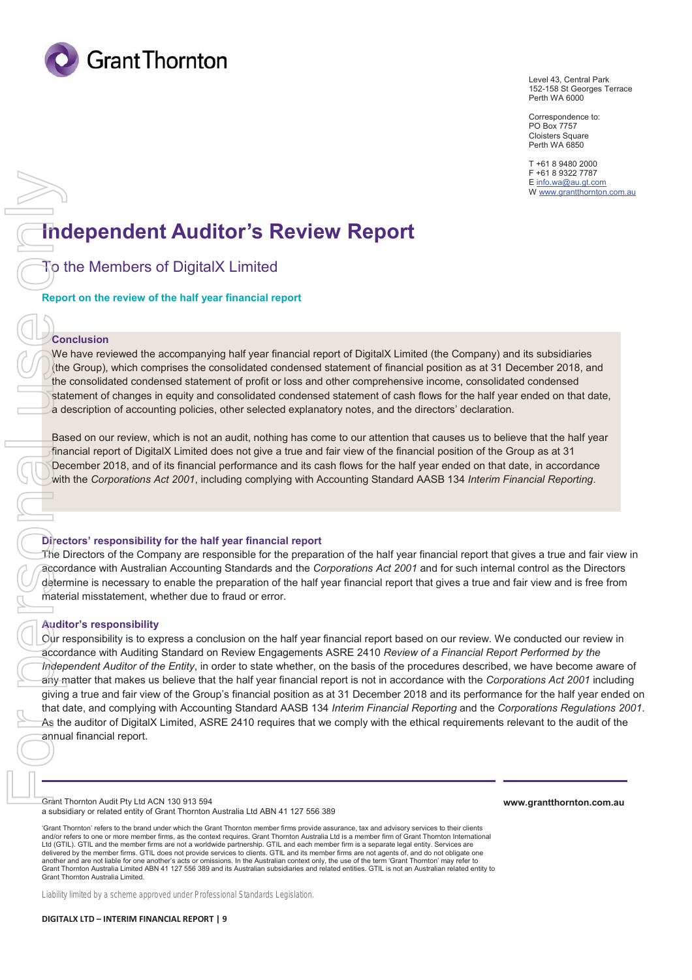

Level 43, Central Park 152-158 St Georges Terrace Perth WA 6000

Correspondence to: PO Box 7757 Cloisters Square Perth WA 6850

T +61 8 9480 2000 F +61 8 9322 7787 E info.wa@au.gt.com W www.grantthornton.com.au

# **Independent Auditor's Review Report**

To the Members of DigitalX Limited

**Report on the review of the half year financial report** 

### **Conclusion**

We have reviewed the accompanying half year financial report of DigitalX Limited (the Company) and its subsidiaries (the Group), which comprises the consolidated condensed statement of financial position as at 31 December 2018, and the consolidated condensed statement of profit or loss and other comprehensive income, consolidated condensed statement of changes in equity and consolidated condensed statement of cash flows for the half year ended on that date, a description of accounting policies, other selected explanatory notes, and the directors' declaration.

Based on our review, which is not an audit, nothing has come to our attention that causes us to believe that the half year financial report of DigitalX Limited does not give a true and fair view of the financial position of the Group as at 31 December 2018, and of its financial performance and its cash flows for the half year ended on that date, in accordance with the *Corporations Act 2001*, including complying with Accounting Standard AASB 134 *Interim Financial Reporting*.

### **Directors' responsibility for the half year financial report**

The Directors of the Company are responsible for the preparation of the half year financial report that gives a true and fair view in accordance with Australian Accounting Standards and the *Corporations Act 2001* and for such internal control as the Directors determine is necessary to enable the preparation of the half year financial report that gives a true and fair view and is free from material misstatement, whether due to fraud or error.

### **Auditor's responsibility**

Our responsibility is to express a conclusion on the half year financial report based on our review. We conducted our review in accordance with Auditing Standard on Review Engagements ASRE 2410 *Review of a Financial Report Performed by the Independent Auditor of the Entity*, in order to state whether, on the basis of the procedures described, we have become aware of any matter that makes us believe that the half year financial report is not in accordance with the *Corporations Act 2001* including giving a true and fair view of the Group's financial position as at 31 December 2018 and its performance for the half year ended on that date, and complying with Accounting Standard AASB 134 *Interim Financial Reporting* and the *Corporations Regulations 2001*. As the auditor of DigitalX Limited, ASRE 2410 requires that we comply with the ethical requirements relevant to the audit of the

Grant Thornton Audit Pty Ltd ACN 130 913 594 a subsidiary or related entity of Grant Thornton Australia Ltd ABN 41 127 556 389

'Grant Thornton' refers to the brand under which the Grant Thornton member firms provide assurance, tax and advisory services to their clients and/or refers to one or more member firms, as the context requires. Grant Thornton Australia Ltd is a member firm of Grant Thornton International Ltd (GTIL). GTIL and the member firms are not a worldwide partnership. GTIL and each member firm is a separate legal entity. Services are<br>delivered by the member firms. GTIL does not provide services to clients. GTIL and i another and are not liable for one another's acts or omissions. In the Australian context only, the use of the term 'Grant Thornton' may refer to Grant Thornton Australia Limited ABN 41 127 556 389 and its Australian subsidiaries and related entities. GTIL is not an Australian related entity to Grant Thornton Australia Limited.

Liability limited by a scheme approved under Professional Standards Legislation.

**www.grantthornton.com.au**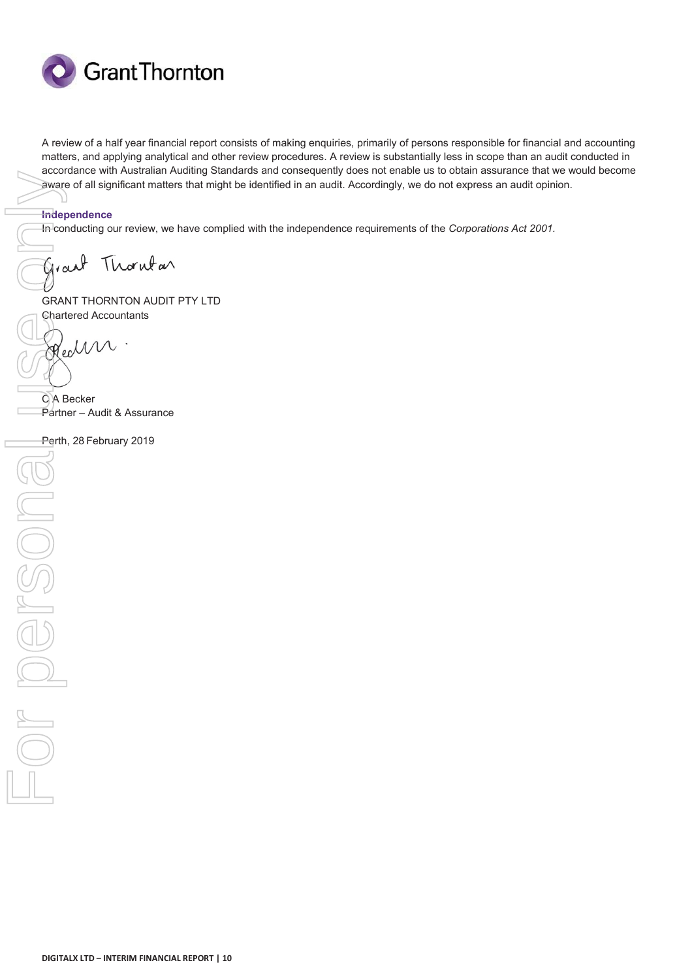

A review of a half year financial report consists of making enquiries, primarily of persons responsible for financial and accounting matters, and applying analytical and other review procedures. A review is substantially less in scope than an audit conducted in accordance with Australian Auditing Standards and consequently does not enable us to obtain assurance that we would become aware of all significant matters that might be identified in an audit. Accordingly, we do not express an audit opinion.

### **Independence**

In conducting our review, we have complied with the independence requirements of the *Corporations Act 2001.* 

GRANT THORNTON AUDIT PTY LTD Chartered Accountants

C A Becker Partner – Audit & Assurance

Perth, 28 February 2019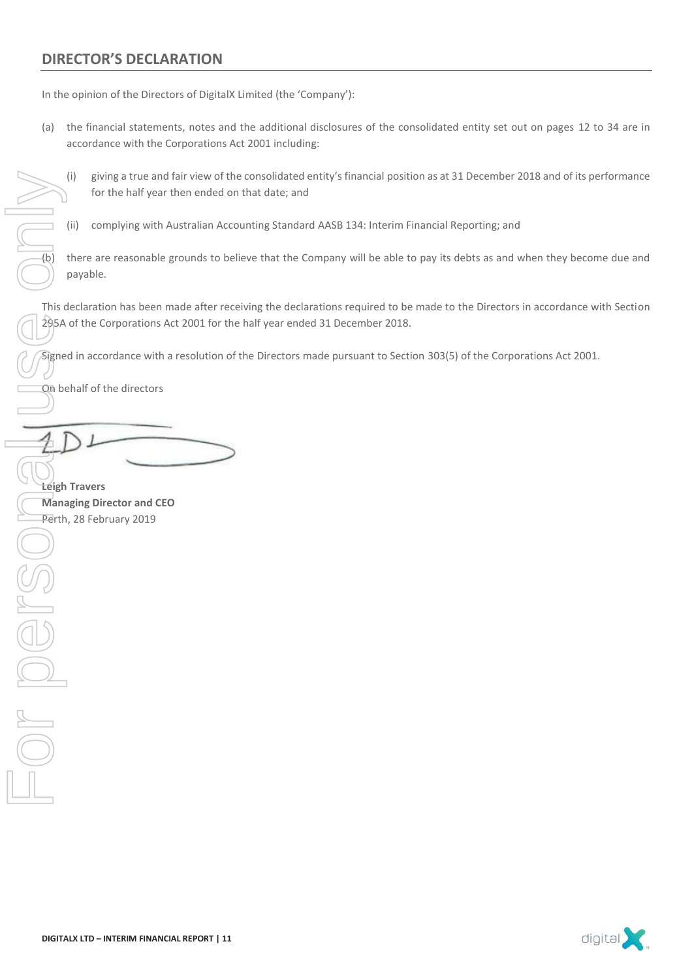### **DIRECTOR'S DECLARATION**

In the opinion of the Directors of DigitalX Limited (the 'Company'):

- (a) the financial statements, notes and the additional disclosures of the consolidated entity set out on pages 12 to 34 are in accordance with the Corporations Act 2001 including:
	- (i) giving a true and fair view of the consolidated entity's financial position as at 31 December 2018 and of its performance for the half year then ended on that date; and
	- (ii) complying with Australian Accounting Standard AASB 134: Interim Financial Reporting; and

 $(b)$  there are reasonable grounds to believe that the Company will be able to pay its debts as and when they become due and payable.

This declaration has been made after receiving the declarations required to be made to the Directors in accordance with Section 295A of the Corporations Act 2001 for the half year ended 31 December 2018.

Signed in accordance with a resolution of the Directors made pursuant to Section 303(5) of the Corporations Act 2001.

On behalf of the directors

**Leigh Travers Managing Director and CEO** 

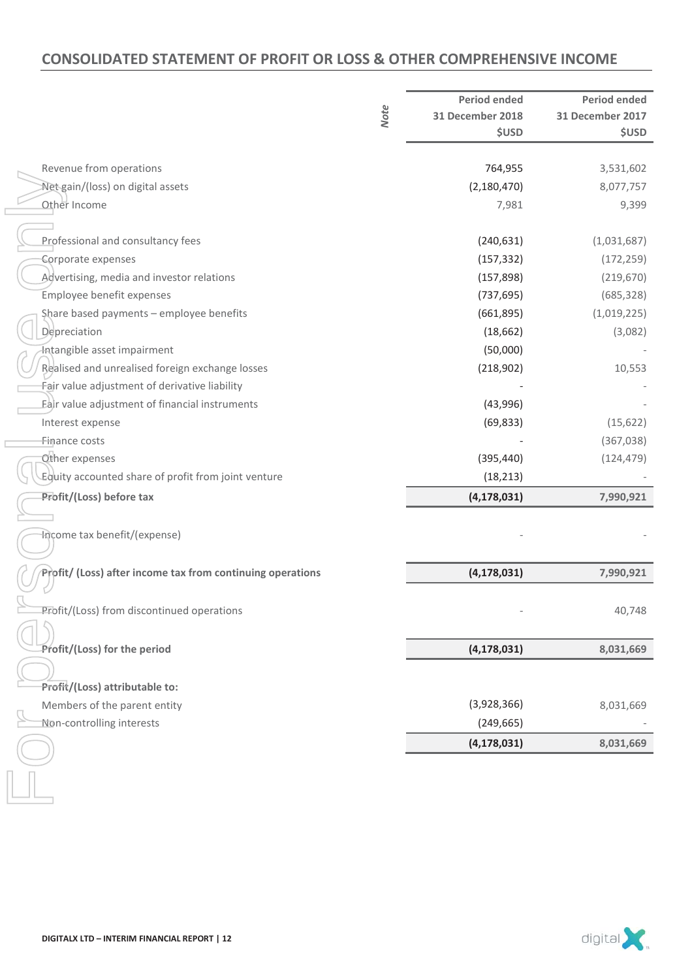### **CONSOLIDATED STATEMENT OF PROFIT OR LOSS & OTHER COMPREHENSIVE INCOME**

|                                                            | <b>Note</b> | <b>Period ended</b><br><b>31 December 2018</b><br><b>\$USD</b> | <b>Period ended</b><br><b>31 December 2017</b><br><b>\$USD</b> |
|------------------------------------------------------------|-------------|----------------------------------------------------------------|----------------------------------------------------------------|
| Revenue from operations                                    |             | 764,955                                                        | 3,531,602                                                      |
| Net gain/(loss) on digital assets                          |             | (2, 180, 470)                                                  | 8,077,757                                                      |
| Other Income                                               |             | 7,981                                                          | 9,399                                                          |
|                                                            |             |                                                                |                                                                |
| Professional and consultancy fees                          |             | (240, 631)                                                     | (1,031,687)                                                    |
| Corporate expenses                                         |             | (157, 332)                                                     | (172, 259)                                                     |
| Advertising, media and investor relations                  |             | (157, 898)                                                     | (219, 670)                                                     |
| Employee benefit expenses                                  |             | (737, 695)                                                     | (685, 328)                                                     |
| Share based payments - employee benefits                   |             | (661,895)                                                      | (1,019,225)                                                    |
| Depreciation                                               |             | (18, 662)                                                      | (3,082)                                                        |
| Intangible asset impairment                                |             | (50,000)                                                       |                                                                |
| Bealised and unrealised foreign exchange losses            |             | (218,902)                                                      | 10,553                                                         |
| Fair value adjustment of derivative liability              |             |                                                                |                                                                |
| Eair value adjustment of financial instruments             |             | (43,996)                                                       |                                                                |
| Interest expense                                           |             | (69, 833)                                                      | (15, 622)                                                      |
| Finance costs                                              |             |                                                                | (367, 038)                                                     |
| Other expenses                                             |             | (395, 440)                                                     | (124, 479)                                                     |
| Equity accounted share of profit from joint venture        |             | (18, 213)                                                      |                                                                |
| Profit/(Loss) before tax                                   |             | (4, 178, 031)                                                  | 7,990,921                                                      |
| Income tax benefit/(expense)                               |             |                                                                |                                                                |
| Profit/ (Loss) after income tax from continuing operations |             | (4, 178, 031)                                                  | 7,990,921                                                      |
| Profit/(Loss) from discontinued operations                 |             |                                                                | 40,748                                                         |
| Profit/(Loss) for the period                               |             | (4, 178, 031)                                                  | 8,031,669                                                      |
| Profit/(Loss) attributable to:                             |             |                                                                |                                                                |
| Members of the parent entity                               |             | (3,928,366)                                                    | 8,031,669                                                      |
| Non-controlling interests                                  |             | (249, 665)                                                     |                                                                |
|                                                            |             | (4, 178, 031)                                                  | 8,031,669                                                      |
|                                                            |             |                                                                |                                                                |

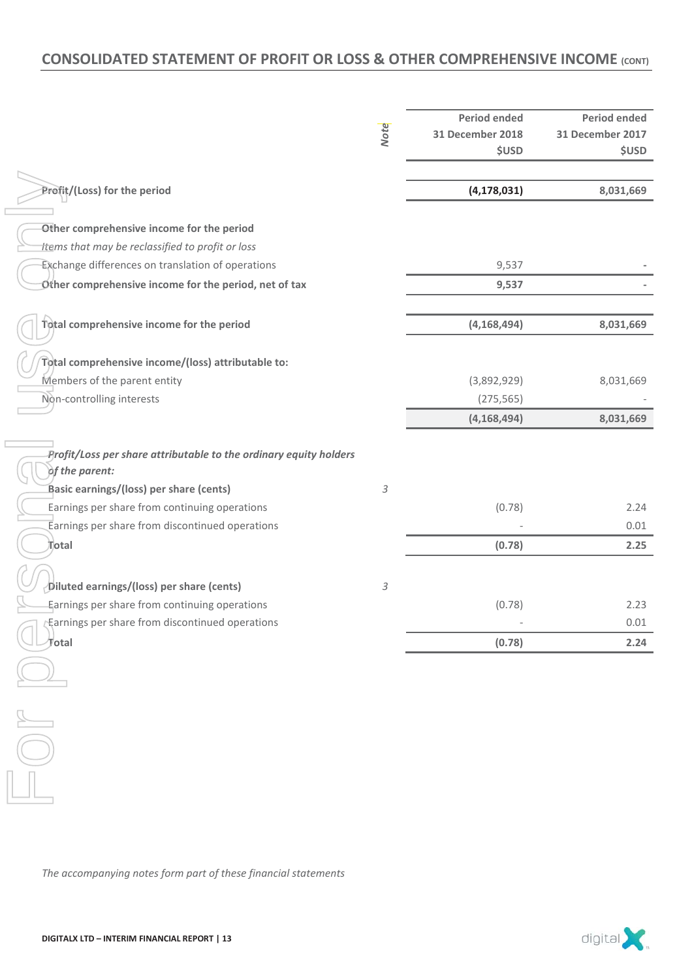### **CONSOLIDATED STATEMENT OF PROFIT OR LOSS & OTHER COMPREHENSIVE INCOME (CONT)**

|                                                                   |                            | <b>Period ended</b>     | <b>Period ended</b>     |
|-------------------------------------------------------------------|----------------------------|-------------------------|-------------------------|
|                                                                   | <b>Note</b>                | <b>31 December 2018</b> | <b>31 December 2017</b> |
|                                                                   |                            | <b>\$USD</b>            | <b>\$USD</b>            |
|                                                                   |                            |                         |                         |
| Profit/(Loss) for the period                                      |                            | (4, 178, 031)           | 8,031,669               |
|                                                                   |                            |                         |                         |
| Other comprehensive income for the period                         |                            |                         |                         |
| ttems that may be reclassified to profit or loss                  |                            |                         |                         |
| Exchange differences on translation of operations                 |                            | 9,537                   |                         |
| Other comprehensive income for the period, net of tax             |                            | 9,537                   |                         |
|                                                                   |                            |                         |                         |
| Total comprehensive income for the period                         |                            | (4, 168, 494)           | 8,031,669               |
|                                                                   |                            |                         |                         |
| Total comprehensive income/(loss) attributable to:                |                            |                         |                         |
| Members of the parent entity                                      |                            | (3,892,929)             | 8,031,669               |
| Non-controlling interests                                         |                            | (275, 565)              |                         |
|                                                                   |                            | (4, 168, 494)           | 8,031,669               |
|                                                                   |                            |                         |                         |
| Profit/Loss per share attributable to the ordinary equity holders |                            |                         |                         |
| of the parent:                                                    |                            |                         |                         |
| Basic earnings/(loss) per share (cents)                           | $\sqrt{3}$                 |                         |                         |
| Earnings per share from continuing operations                     |                            | (0.78)                  | 2.24                    |
| Earnings per share from discontinued operations                   |                            |                         | 0.01                    |
| Total                                                             |                            | (0.78)                  | 2.25                    |
|                                                                   |                            |                         |                         |
|                                                                   |                            |                         |                         |
| Diluted earnings/(loss) per share (cents)                         | $\ensuremath{\mathcal{S}}$ |                         |                         |
| Earnings per share from continuing operations                     |                            | (0.78)                  | 2.23                    |
| Earnings per share from discontinued operations                   |                            |                         | 0.01                    |
| Total                                                             |                            | (0.78)                  | 2.24                    |
|                                                                   |                            |                         |                         |
|                                                                   |                            |                         |                         |
|                                                                   |                            |                         |                         |
|                                                                   |                            |                         |                         |
|                                                                   |                            |                         |                         |
|                                                                   |                            |                         |                         |
|                                                                   |                            |                         |                         |
|                                                                   |                            |                         |                         |
|                                                                   |                            |                         |                         |
|                                                                   |                            |                         |                         |
|                                                                   |                            |                         |                         |
| The accompanying notes form part of these financial statements    |                            |                         |                         |

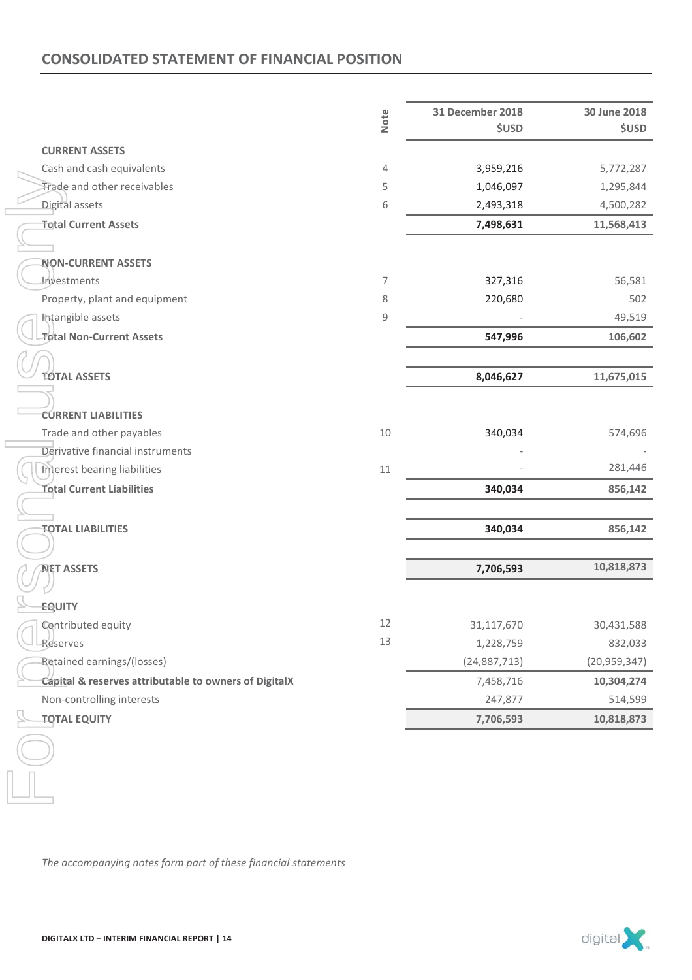### **CONSOLIDATED STATEMENT OF FINANCIAL POSITION**

|                                                                | Note | <b>31 December 2018</b> | 30 June 2018   |
|----------------------------------------------------------------|------|-------------------------|----------------|
|                                                                |      | <b>\$USD</b>            | <b>\$USD</b>   |
| <b>CURRENT ASSETS</b>                                          |      |                         |                |
| Cash and cash equivalents                                      | 4    | 3,959,216               | 5,772,287      |
| Trade and other receivables                                    | 5    | 1,046,097               | 1,295,844      |
| Digital assets                                                 | 6    | 2,493,318               | 4,500,282      |
| <b>Total Current Assets</b>                                    |      | 7,498,631               | 11,568,413     |
|                                                                |      |                         |                |
| <b>NON-CURRENT ASSETS</b>                                      |      |                         |                |
| <i><b>Investments</b></i>                                      | 7    | 327,316                 | 56,581         |
| Property, plant and equipment                                  | 8    | 220,680                 | 502            |
| Intangible assets                                              | 9    |                         | 49,519         |
| <b>Total Non-Current Assets</b>                                |      | 547,996                 | 106,602        |
|                                                                |      |                         |                |
| <b>TOTAL ASSETS</b>                                            |      | 8,046,627               | 11,675,015     |
|                                                                |      |                         |                |
| <b>CURRENT LIABILITIES</b>                                     |      |                         |                |
| Trade and other payables                                       | 10   | 340,034                 | 574,696        |
| Derivative financial instruments                               |      |                         |                |
| Interest bearing liabilities                                   | 11   |                         | 281,446        |
| <b>Total Current Liabilities</b>                               |      | 340,034                 | 856,142        |
|                                                                |      |                         |                |
| <b>TOTAL LIABILITIES</b>                                       |      | 340,034                 | 856,142        |
|                                                                |      |                         |                |
| <b>NET ASSETS</b>                                              |      | 7,706,593               | 10,818,873     |
|                                                                |      |                         |                |
| <b>EQUITY</b>                                                  |      |                         |                |
| Contributed equity                                             | 12   | 31,117,670              | 30,431,588     |
| Reserves                                                       | 13   | 1,228,759               | 832,033        |
| Retained earnings/(losses)                                     |      | (24,887,713)            | (20, 959, 347) |
| Capital & reserves attributable to owners of DigitalX          |      | 7,458,716               | 10,304,274     |
| Non-controlling interests                                      |      | 247,877                 | 514,599        |
| <b>TOTAL EQUITY</b>                                            |      | 7,706,593               | 10,818,873     |
|                                                                |      |                         |                |
|                                                                |      |                         |                |
|                                                                |      |                         |                |
|                                                                |      |                         |                |
|                                                                |      |                         |                |
|                                                                |      |                         |                |
|                                                                |      |                         |                |
| The accompanying notes form part of these financial statements |      |                         |                |

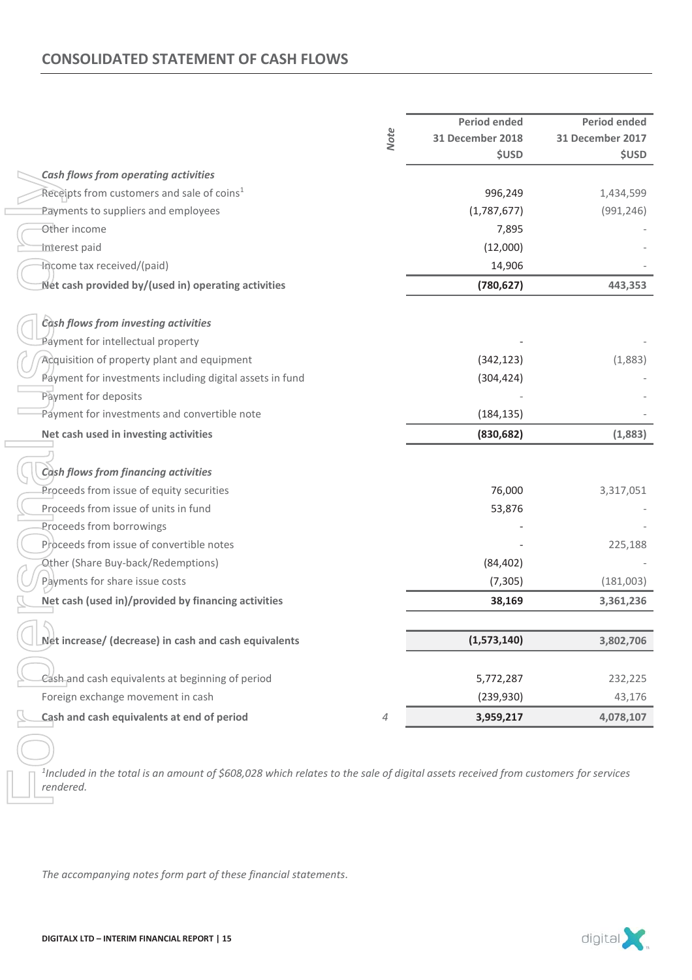### **CONSOLIDATED STATEMENT OF CASH FLOWS**

|                                                                                                                                                            |             | <b>Period ended</b>     | <b>Period ended</b>     |
|------------------------------------------------------------------------------------------------------------------------------------------------------------|-------------|-------------------------|-------------------------|
|                                                                                                                                                            | <b>Note</b> | <b>31 December 2018</b> | <b>31 December 2017</b> |
|                                                                                                                                                            |             | <b>\$USD</b>            | <b>\$USD</b>            |
| <b>Cash flows from operating activities</b>                                                                                                                |             |                         |                         |
| Receipts from customers and sale of coins <sup>1</sup>                                                                                                     |             | 996,249                 | 1,434,599               |
| Payments to suppliers and employees                                                                                                                        |             | (1,787,677)             | (991, 246)              |
| Other income                                                                                                                                               |             | 7,895                   |                         |
| interest paid                                                                                                                                              |             | (12,000)                |                         |
| Income tax received/(paid)                                                                                                                                 |             | 14,906                  |                         |
| Net cash provided by/(used in) operating activities                                                                                                        |             | (780, 627)              | 443,353                 |
| Cash flows from investing activities                                                                                                                       |             |                         |                         |
| Payment for intellectual property                                                                                                                          |             |                         |                         |
| Acquisition of property plant and equipment                                                                                                                |             | (342, 123)              | (1,883)                 |
| Payment for investments including digital assets in fund                                                                                                   |             | (304, 424)              |                         |
| Payment for deposits                                                                                                                                       |             |                         |                         |
| Payment for investments and convertible note                                                                                                               |             | (184, 135)              |                         |
| Net cash used in investing activities                                                                                                                      |             | (830, 682)              | (1,883)                 |
|                                                                                                                                                            |             |                         |                         |
| Cash flows from financing activities                                                                                                                       |             |                         |                         |
| Proceeds from issue of equity securities                                                                                                                   |             | 76,000                  | 3,317,051               |
| Proceeds from issue of units in fund                                                                                                                       |             | 53,876                  |                         |
| Proceeds from borrowings                                                                                                                                   |             |                         |                         |
| Proceeds from issue of convertible notes                                                                                                                   |             |                         | 225,188                 |
| Other (Share Buy-back/Redemptions)                                                                                                                         |             | (84, 402)               |                         |
| Payments for share issue costs                                                                                                                             |             | (7, 305)                | (181,003)               |
| Net cash (used in)/provided by financing activities                                                                                                        |             | 38,169                  | 3,361,236               |
|                                                                                                                                                            |             |                         |                         |
| Net increase/ (decrease) in cash and cash equivalents                                                                                                      |             | (1,573,140)             | 3,802,706               |
|                                                                                                                                                            |             |                         |                         |
| Cash and cash equivalents at beginning of period                                                                                                           |             | 5,772,287               | 232,225                 |
| Foreign exchange movement in cash                                                                                                                          |             | (239, 930)              | 43,176                  |
| Cash and cash equivalents at end of period                                                                                                                 | 4           | 3,959,217               | 4,078,107               |
| <sup>1</sup> Included in the total is an amount of \$608,028 which relates to the sale of digital assets received from customers for services<br>rendered. |             |                         |                         |
| The accompanying notes form part of these financial statements.                                                                                            |             |                         |                         |

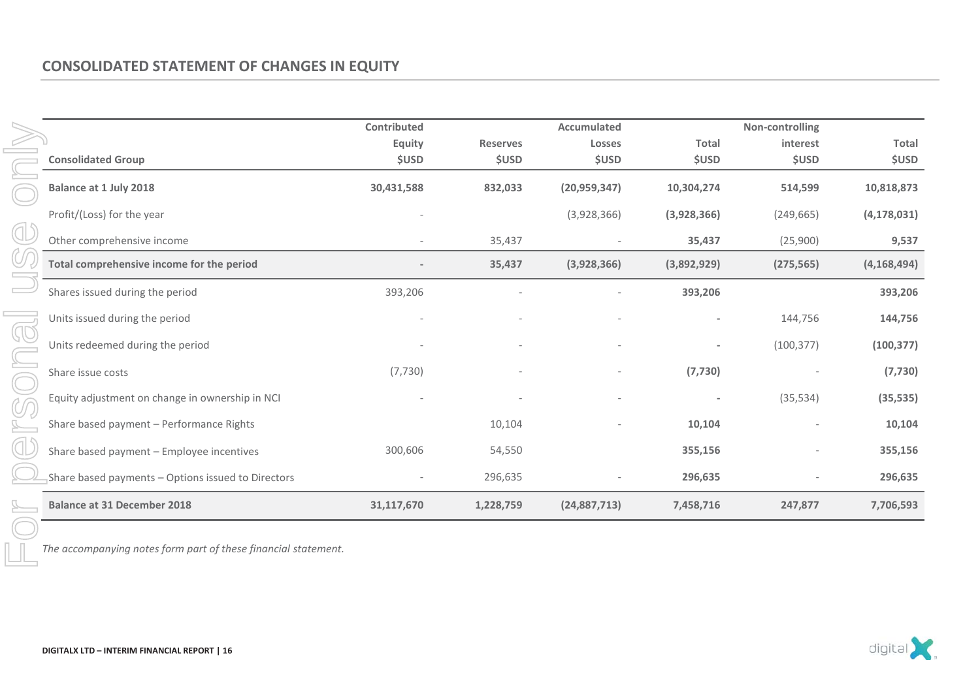### **CONSOLIDATED STATEMENT OF CHANGES IN EQUITY**

|                                                    | Contributed  |                 | <b>Accumulated</b> |                          | Non-controlling |               |
|----------------------------------------------------|--------------|-----------------|--------------------|--------------------------|-----------------|---------------|
|                                                    | Equity       | <b>Reserves</b> | <b>Losses</b>      | <b>Total</b>             | interest        | <b>Total</b>  |
| <b>Consolidated Group</b>                          | <b>\$USD</b> | <b>\$USD</b>    | <b>\$USD</b>       | <b>\$USD</b>             | <b>\$USD</b>    | <b>\$USD</b>  |
| <b>Balance at 1 July 2018</b>                      | 30,431,588   | 832,033         | (20, 959, 347)     | 10,304,274               | 514,599         | 10,818,873    |
| Profit/(Loss) for the year                         |              |                 | (3,928,366)        | (3,928,366)              | (249, 665)      | (4, 178, 031) |
| Other comprehensive income                         |              | 35,437          |                    | 35,437                   | (25,900)        | 9,537         |
| Total comprehensive income for the period          |              | 35,437          | (3,928,366)        | (3,892,929)              | (275, 565)      | (4, 168, 494) |
| Shares issued during the period                    | 393,206      |                 |                    | 393,206                  |                 | 393,206       |
| Units issued during the period                     |              |                 |                    |                          | 144,756         | 144,756       |
| Units redeemed during the period                   |              |                 |                    |                          | (100, 377)      | (100, 377)    |
| Share issue costs                                  | (7, 730)     |                 |                    | (7, 730)                 |                 | (7, 730)      |
| Equity adjustment on change in ownership in NCI    |              |                 |                    | $\overline{\phantom{a}}$ | (35, 534)       | (35, 535)     |
| Share based payment - Performance Rights           |              | 10,104          |                    | 10,104                   |                 | 10,104        |
| Share based payment - Employee incentives          | 300,606      | 54,550          |                    | 355,156                  |                 | 355,156       |
| Share based payments - Options issued to Directors |              | 296,635         |                    | 296,635                  |                 | 296,635       |
| <b>Balance at 31 December 2018</b>                 | 31,117,670   | 1,228,759       | (24,887,713)       | 7,458,716                | 247,877         | 7,706,593     |

*The accompanying notes form part of these financial statement.* 

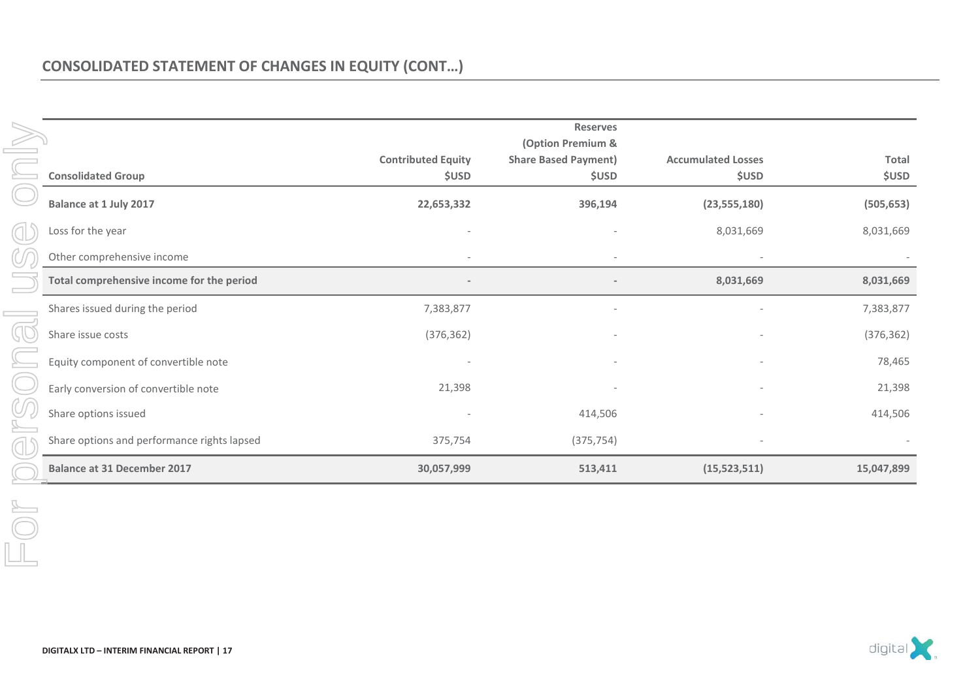|                                             |                                           | <b>Reserves</b><br>(Option Premium &        |                                           |                       |
|---------------------------------------------|-------------------------------------------|---------------------------------------------|-------------------------------------------|-----------------------|
| <b>Consolidated Group</b>                   | <b>Contributed Equity</b><br><b>\$USD</b> | <b>Share Based Payment)</b><br><b>\$USD</b> | <b>Accumulated Losses</b><br><b>\$USD</b> | Total<br><b>\$USD</b> |
| <b>Balance at 1 July 2017</b>               | 22,653,332                                | 396,194                                     | (23, 555, 180)                            | (505, 653)            |
| Loss for the year                           |                                           |                                             | 8,031,669                                 | 8,031,669             |
| Other comprehensive income                  |                                           |                                             |                                           |                       |
| Total comprehensive income for the period   |                                           |                                             | 8,031,669                                 | 8,031,669             |
| Shares issued during the period             | 7,383,877                                 |                                             |                                           | 7,383,877             |
| Share issue costs                           | (376, 362)                                | $\qquad \qquad \blacksquare$                | $\overline{\phantom{a}}$                  | (376, 362)            |
| Equity component of convertible note        |                                           |                                             |                                           | 78,465                |
| Early conversion of convertible note        | 21,398                                    |                                             |                                           | 21,398                |
| Share options issued                        |                                           | 414,506                                     |                                           | 414,506               |
| Share options and performance rights lapsed | 375,754                                   | (375, 754)                                  |                                           |                       |
| <b>Balance at 31 December 2017</b>          | 30,057,999                                | 513,411                                     | (15,523,511)                              | 15,047,899            |

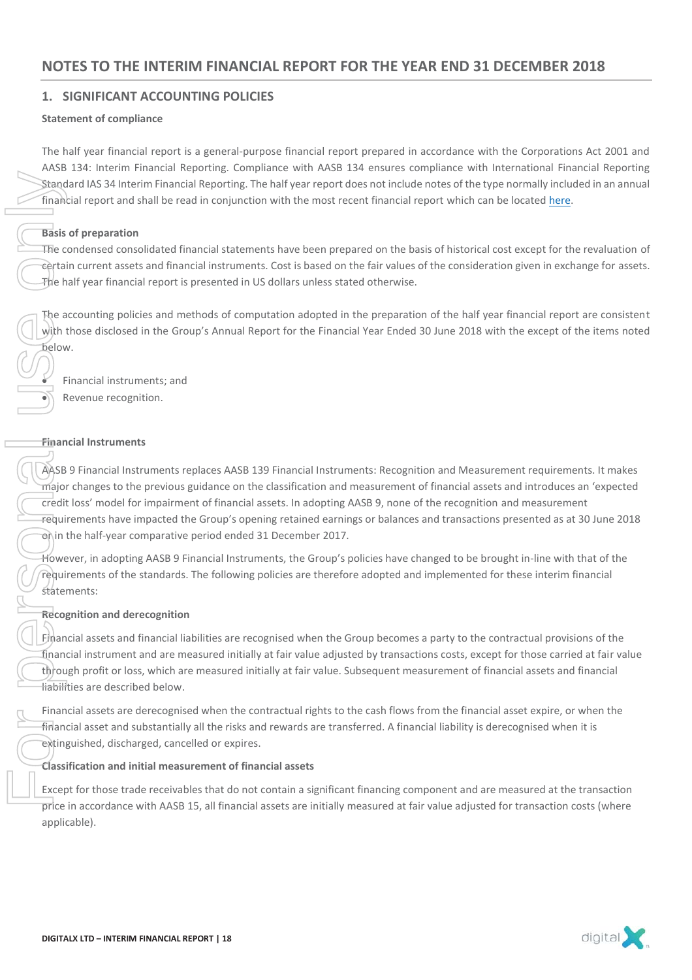### **1. SIGNIFICANT ACCOUNTING POLICIES**

### **Statement of compliance**

The half year financial report is a general-purpose financial report prepared in accordance with the Corporations Act 2001 and AASB 134: Interim Financial Reporting. Compliance with AASB 134 ensures compliance with International Financial Reporting Standard IAS 34 Interim Financial Reporting. The half year report does not include notes of the type normally included in an annual financial report and shall be read in conjunction with the most recent financial report which can be located here.

### **Basis of preparation**

The condensed consolidated financial statements have been prepared on the basis of historical cost except for the revaluation of certain current assets and financial instruments. Cost is based on the fair values of the consideration given in exchange for assets.  $\tau$ he half year financial report is presented in US dollars unless stated otherwise.

The accounting policies and methods of computation adopted in the preparation of the half year financial report are consistent with those disclosed in the Group's Annual Report for the Financial Year Ended 30 June 2018 with the except of the items noted below.

Financial instruments; and Revenue recognition.

### **Financial Instruments**

AASB 9 Financial Instruments replaces AASB 139 Financial Instruments: Recognition and Measurement requirements. It makes major changes to the previous guidance on the classification and measurement of financial assets and introduces an 'expected credit loss' model for impairment of financial assets. In adopting AASB 9, none of the recognition and measurement requirements have impacted the Group's opening retained earnings or balances and transactions presented as at 30 June 2018 on in the half-year comparative period ended 31 December 2017. Standard IAS<br>
Financial rep<br>
Financial rep<br>
The condens<br>
Condens<br>
The account<br>
With those c<br>
Lebow.<br>
Financial Ins<br>
Financial Ins<br>
Financial Ins<br>
Financial Ins<br>
Trequirement<br>
Credit Ioss' requirement<br>
Statements:<br>
Recognit

However, in adopting AASB 9 Financial Instruments, the Group's policies have changed to be brought in-line with that of the requirements of the standards. The following policies are therefore adopted and implemented for these interim financial statements:

### **Recognition and derecognition**

Financial assets and financial liabilities are recognised when the Group becomes a party to the contractual provisions of the financial instrument and are measured initially at fair value adjusted by transactions costs, except for those carried at fair value through profit or loss, which are measured initially at fair value. Subsequent measurement of financial assets and financial liabilities are described below.

Financial assets are derecognised when the contractual rights to the cash flows from the financial asset expire, or when the financial asset and substantially all the risks and rewards are transferred. A financial liability is derecognised when it is extinguished, discharged, cancelled or expires.

### **Classification and initial measurement of financial assets**

Except for those trade receivables that do not contain a significant financing component and are measured at the transaction  $\overline{pr}$ ice in accordance with AASB 15, all financial assets are initially measured at fair value adjusted for transaction costs (where applicable).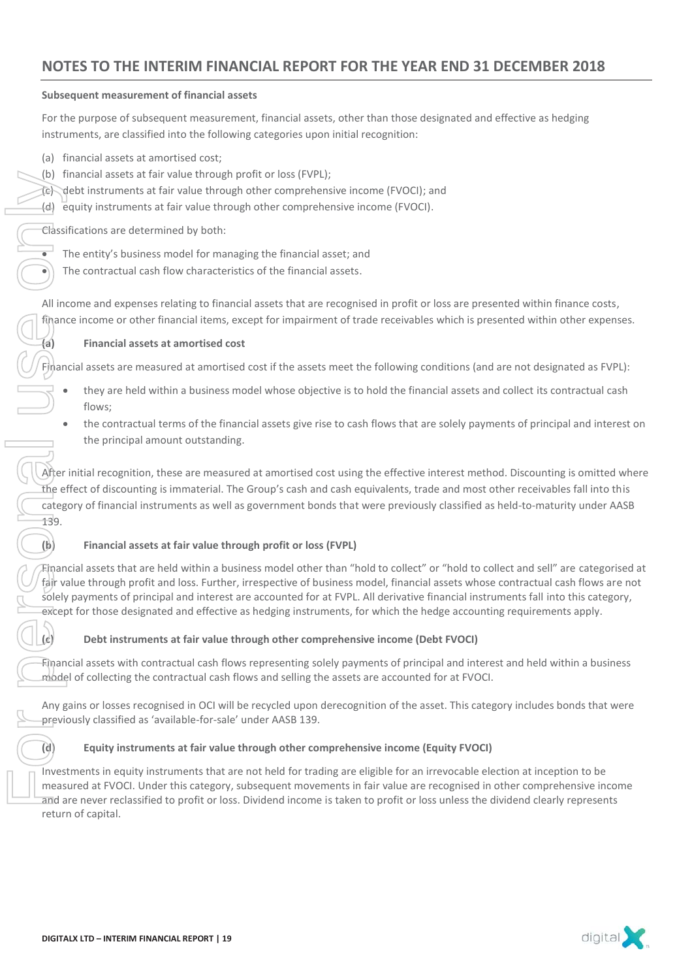### **Subsequent measurement of financial assets**

For the purpose of subsequent measurement, financial assets, other than those designated and effective as hedging instruments, are classified into the following categories upon initial recognition:

- (a) financial assets at amortised cost;
- (b) financial assets at fair value through profit or loss (FVPL);
- (c) debt instruments at fair value through other comprehensive income (FVOCI); and
- (d) equity instruments at fair value through other comprehensive income (FVOCI).

Classifications are determined by both:

- The entity's business model for managing the financial asset; and
- The contractual cash flow characteristics of the financial assets.

All income and expenses relating to financial assets that are recognised in profit or loss are presented within finance costs, finance income or other financial items, except for impairment of trade receivables which is presented within other expenses.

### **(a) Financial assets at amortised cost**

Financial assets are measured at amortised cost if the assets meet the following conditions (and are not designated as FVPL):

- they are held within a business model whose objective is to hold the financial assets and collect its contractual cash flows;
- the contractual terms of the financial assets give rise to cash flows that are solely payments of principal and interest on the principal amount outstanding.

After initial recognition, these are measured at amortised cost using the effective interest method. Discounting is omitted where the effect of discounting is immaterial. The Group's cash and cash equivalents, trade and most other receivables fall into this category of financial instruments as well as government bonds that were previously classified as held-to-maturity under AASB 139. (b) tinancial asseted the contract debt instrum<br>
(d) equity instrum<br>
Classifications are<br>
The entity's to the contract<br>
All income and extingle in<br>
Financial assets a<br>
they are<br>
flows;<br>
the contract the princ of the princ<br>

### **(b) Financial assets at fair value through profit or loss (FVPL)**

Financial assets that are held within a business model other than "hold to collect" or "hold to collect and sell" are categorised at fair value through profit and loss. Further, irrespective of business model, financial assets whose contractual cash flows are not solely payments of principal and interest are accounted for at FVPL. All derivative financial instruments fall into this category, except for those designated and effective as hedging instruments, for which the hedge accounting requirements apply.

### **(c) Debt instruments at fair value through other comprehensive income (Debt FVOCI)**

Financial assets with contractual cash flows representing solely payments of principal and interest and held within a business model of collecting the contractual cash flows and selling the assets are accounted for at FVOCI.

Any gains or losses recognised in OCI will be recycled upon derecognition of the asset. This category includes bonds that were previously classified as 'available-for-sale' under AASB 139.

### **(d) Equity instruments at fair value through other comprehensive income (Equity FVOCI)**

Investments in equity instruments that are not held for trading are eligible for an irrevocable election at inception to be measured at FVOCI. Under this category, subsequent movements in fair value are recognised in other comprehensive income and are never reclassified to profit or loss. Dividend income is taken to profit or loss unless the dividend clearly represents return of capital.

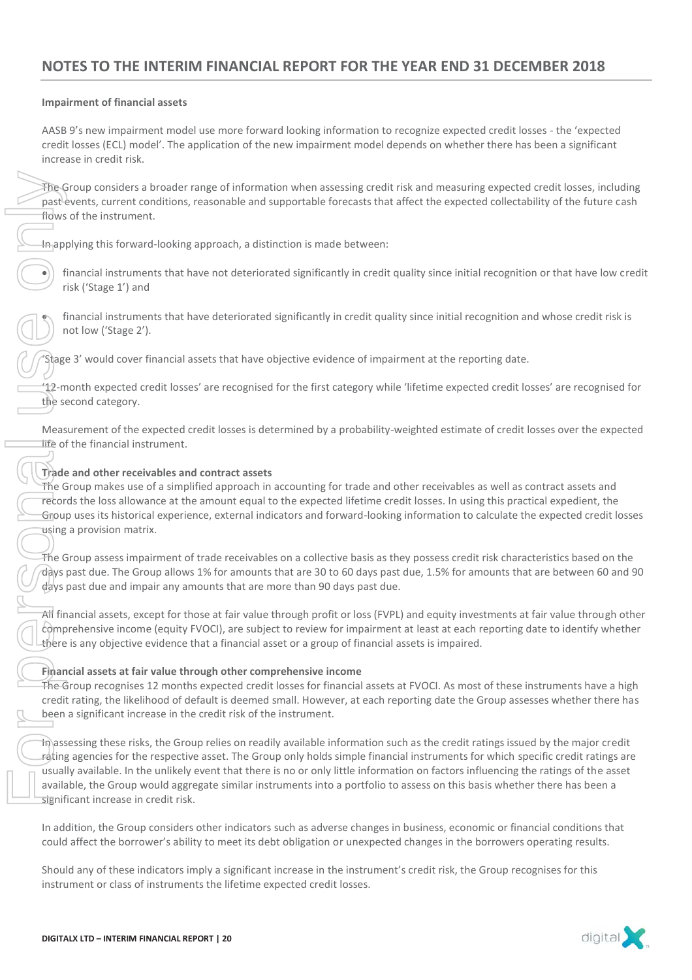### **Impairment of financial assets**

AASB 9's new impairment model use more forward looking information to recognize expected credit losses - the 'expected credit losses (ECL) model'. The application of the new impairment model depends on whether there has been a significant increase in credit risk.

The Group considers a broader range of information when assessing credit risk and measuring expected credit losses, including past events, current conditions, reasonable and supportable forecasts that affect the expected collectability of the future cash flows of the instrument.

In applying this forward-looking approach, a distinction is made between:

financial instruments that have not deteriorated significantly in credit quality since initial recognition or that have low credit risk ('Stage 1') and

financial instruments that have deteriorated significantly in credit quality since initial recognition and whose credit risk is not low ('Stage 2').

'Stage 3' would cover financial assets that have objective evidence of impairment at the reporting date.

'12-month expected credit losses' are recognised for the first category while 'lifetime expected credit losses' are recognised for the second category.

Measurement of the expected credit losses is determined by a probability-weighted estimate of credit losses over the expected life of the financial instrument.

### **Trade and other receivables and contract assets**

The Group makes use of a simplified approach in accounting for trade and other receivables as well as contract assets and records the loss allowance at the amount equal to the expected lifetime credit losses. In using this practical expedient, the Group uses its historical experience, external indicators and forward-looking information to calculate the expected credit losses using a provision matrix.

The Group assess impairment of trade receivables on a collective basis as they possess credit risk characteristics based on the days past due. The Group allows 1% for amounts that are 30 to 60 days past due, 1.5% for amounts that are between 60 and 90 days past due and impair any amounts that are more than 90 days past due.

All financial assets, except for those at fair value through profit or loss (FVPL) and equity investments at fair value through other comprehensive income (equity FVOCI), are subject to review for impairment at least at each reporting date to identify whether there is any objective evidence that a financial asset or a group of financial assets is impaired.

### **Financial assets at fair value through other comprehensive income**

The Group recognises 12 months expected credit losses for financial assets at FVOCI. As most of these instruments have a high credit rating, the likelihood of default is deemed small. However, at each reporting date the Group assesses whether there has been a significant increase in the credit risk of the instrument.

In assessing these risks, the Group relies on readily available information such as the credit ratings issued by the major credit rating agencies for the respective asset. The Group only holds simple financial instruments for which specific credit ratings are usually available. In the unlikely event that there is no or only little information on factors influencing the ratings of the asset available, the Group would aggregate similar instruments into a portfolio to assess on this basis whether there has been a significant increase in credit risk. The Group considers a broader range of information when assessing comparisons, consonable and supportable forecasts<br>
inclusions of the instruments.<br>
The applying this forward-looking approach, a distinction is made between

In addition, the Group considers other indicators such as adverse changes in business, economic or financial conditions that could affect the borrower's ability to meet its debt obligation or unexpected changes in the borrowers operating results.

Should any of these indicators imply a significant increase in the instrument's credit risk, the Group recognises for this

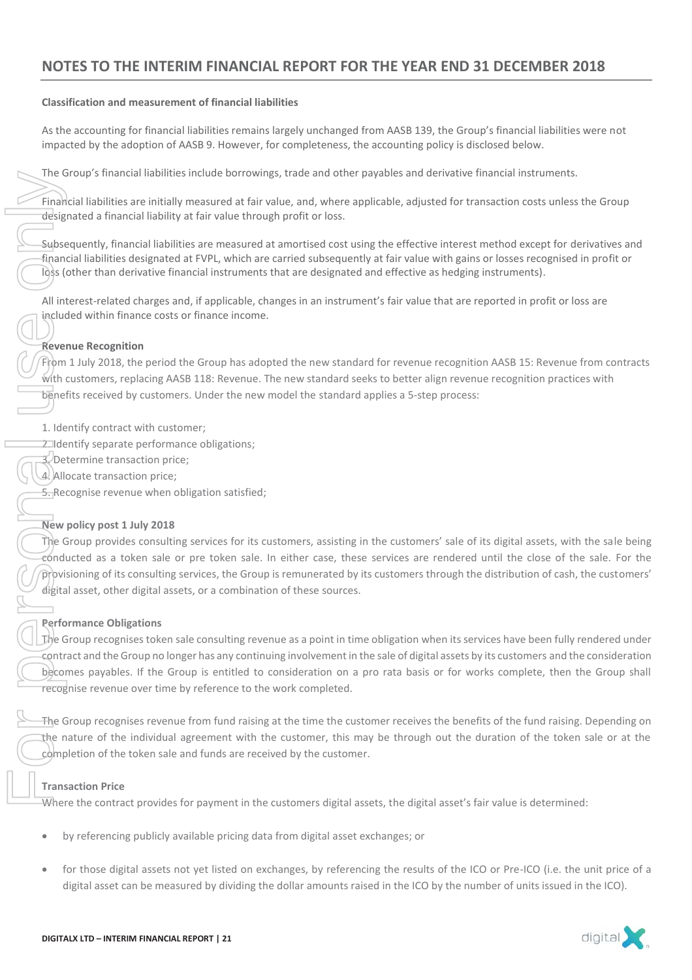### **Classification and measurement of financial liabilities**

As the accounting for financial liabilities remains largely unchanged from AASB 139, the Group's financial liabilities were not impacted by the adoption of AASB 9. However, for completeness, the accounting policy is disclosed below.

The Group's financial liabilities include borrowings, trade and other payables and derivative financial instruments.

Financial liabilities are initially measured at fair value, and, where applicable, adjusted for transaction costs unless the Group designated a financial liability at fair value through profit or loss.

Subsequently, financial liabilities are measured at amortised cost using the effective interest method except for derivatives and financial liabilities designated at FVPL, which are carried subsequently at fair value with gains or losses recognised in profit or loss (other than derivative financial instruments that are designated and effective as hedging instruments).

All interest-related charges and, if applicable, changes in an instrument's fair value that are reported in profit or loss are included within finance costs or finance income.

### **Revenue Recognition**

From 1 July 2018, the period the Group has adopted the new standard for revenue recognition AASB 15: Revenue from contracts with customers, replacing AASB 118: Revenue. The new standard seeks to better align revenue recognition practices with benefits received by customers. Under the new model the standard applies a 5-step process:

- 1. Identify contract with customer;
- 2. Identify separate performance obligations;
- 3. Determine transaction price;
- 4. Allocate transaction price;
- 5. Recognise revenue when obligation satisfied;

### **New policy post 1 July 2018**

The Group provides consulting services for its customers, assisting in the customers' sale of its digital assets, with the sale being conducted as a token sale or pre token sale. In either case, these services are rendered until the close of the sale. For the provisioning of its consulting services, the Group is remunerated by its customers through the distribution of cash, the customers' digital asset, other digital assets, or a combination of these sources.

### **Performance Obligations**

The Group recognises token sale consulting revenue as a point in time obligation when its services have been fully rendered under contract and the Group no longer has any continuing involvement in the sale of digital assets by its customers and the consideration becomes payables. If the Group is entitled to consideration on a pro rata basis or for works complete, then the Group shall recognise revenue over time by reference to the work completed. Framework is the measured by distribution of the measured by distribution and the measured by distribution and the measured by distribution the measured by the ICO by the ICO by the ICO by the ICO by the ICO by the ICO by

The Group recognises revenue from fund raising at the time the customer receives the benefits of the fund raising. Depending on the nature of the individual agreement with the customer, this may be through out the duration of the token sale or at the completion of the token sale and funds are received by the customer.

### **Transaction Price**

Where the contract provides for payment in the customers digital assets, the digital asset's fair value is determined:

- by referencing publicly available pricing data from digital asset exchanges; or
- for those digital assets not yet listed on exchanges, by referencing the results of the ICO or Pre-ICO (i.e. the unit price of a

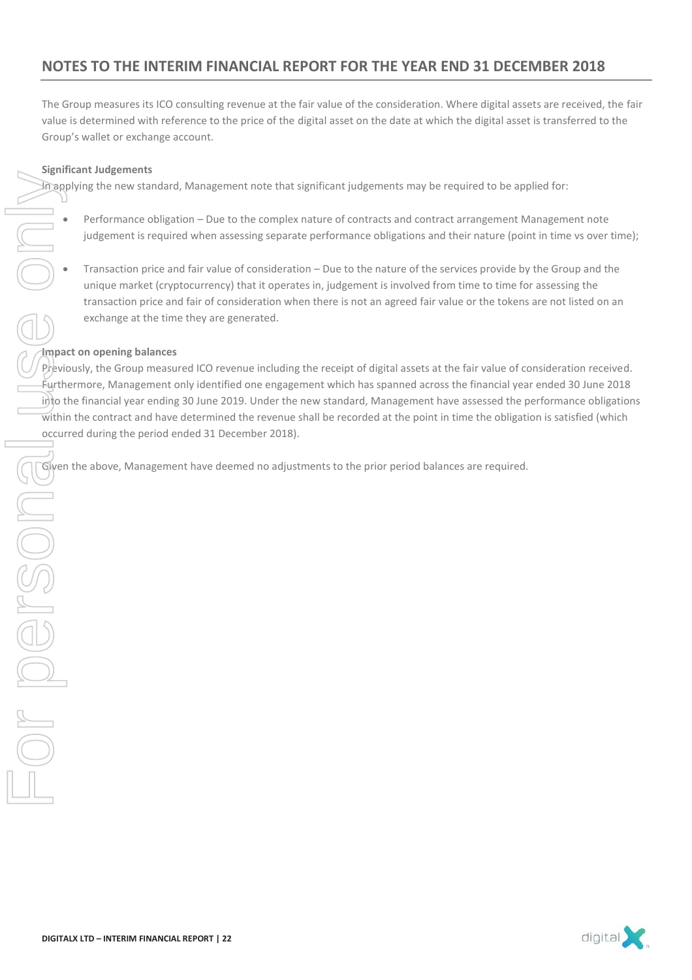The Group measures its ICO consulting revenue at the fair value of the consideration. Where digital assets are received, the fair value is determined with reference to the price of the digital asset on the date at which the digital asset is transferred to the Group's wallet or exchange account.

### **Significant Judgements**

In applying the new standard, Management note that significant judgements may be required to be applied for:

- Performance obligation Due to the complex nature of contracts and contract arrangement Management note judgement is required when assessing separate performance obligations and their nature (point in time vs over time);
- Transaction price and fair value of consideration Due to the nature of the services provide by the Group and the unique market (cryptocurrency) that it operates in, judgement is involved from time to time for assessing the transaction price and fair of consideration when there is not an agreed fair value or the tokens are not listed on an exchange at the time they are generated.

### **Impact on opening balances**

Previously, the Group measured ICO revenue including the receipt of digital assets at the fair value of consideration received. Furthermore, Management only identified one engagement which has spanned across the financial year ended 30 June 2018 into the financial year ending 30 June 2019. Under the new standard, Management have assessed the performance obligations within the contract and have determined the revenue shall be recorded at the point in time the obligation is satisfied (which occurred during the period ended 31 December 2018).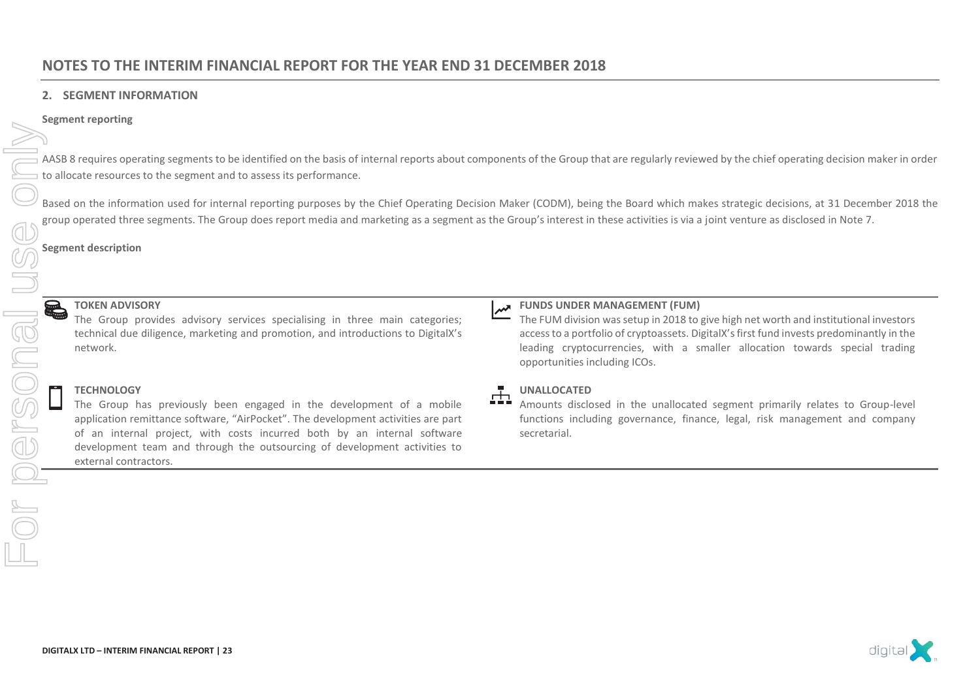### **2. SEGMENT INFORMATION**

### **Segment reporting**

AASB 8 requires operating segments to be identified on the basis of internal reports about components of the Group that are regularly reviewed by the chief operating decision maker in order to allocate resources to the segment and to assess its performance.

Based on the information used for internal reporting purposes by the Chief Operating Decision Maker (CODM), being the Board which makes strategic decisions, at 31 December 2018 the group operated three segments. The Group does report media and marketing as a segment as the Group's interest in these activities is via a joint venture as disclosed in Note 7.

**Segment description** 

### **TOKEN ADVISORY**

The Group provides advisory services specialising in three main categories; technical due diligence, marketing and promotion, and introductions to DigitalX's network.

### **TECHNOLOGY**

The Group has previously been engaged in the development of a mobile application remittance software, "AirPocket". The development activities are part of an internal project, with costs incurred both by an internal software development team and through the outsourcing of development activities to external contractors.

### **FUNDS UNDER MANAGEMENT (FUM)**

The FUM division was setup in 2018 to give high net worth and institutional investors access to a portfolio of cryptoassets. DigitalX's first fund invests predominantly in the leading cryptocurrencies, with a smaller allocation towards special trading opportunities including ICOs.

### **UNALLOCATED**

Amounts disclosed in the unallocated segment primarily relates to Group-level functions including governance, finance, legal, risk management and company secretarial.

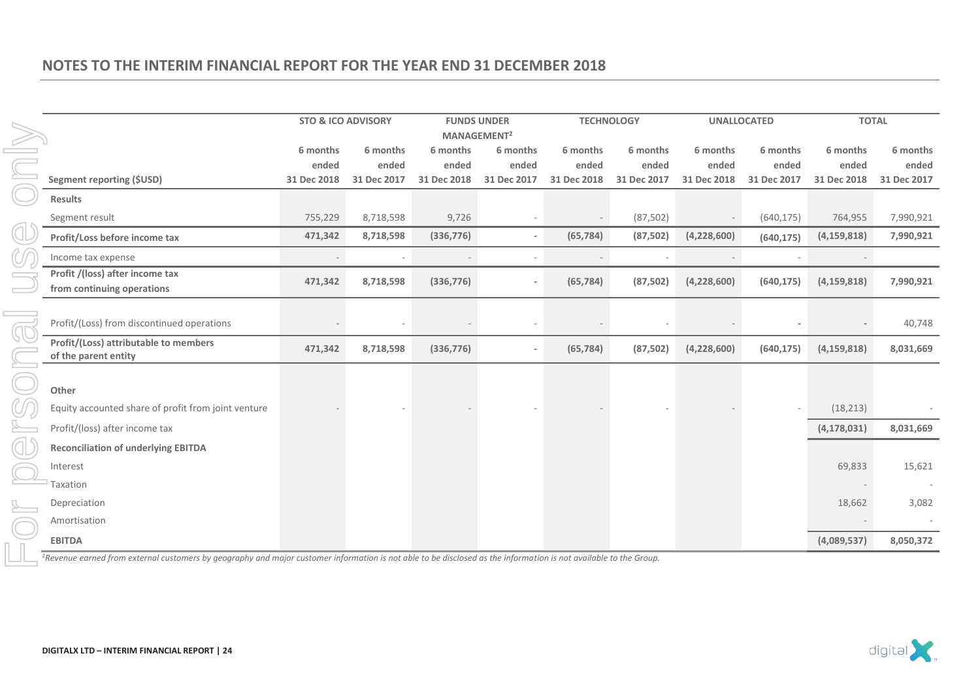|                                                                                                                                                                               | <b>STO &amp; ICO ADVISORY</b>    |                                  | <b>FUNDS UNDER</b>               |                                                             |                                  | <b>TECHNOLOGY</b>                |                                  | <b>UNALLOCATED</b>               | <b>TOTAL</b>                     |                                  |
|-------------------------------------------------------------------------------------------------------------------------------------------------------------------------------|----------------------------------|----------------------------------|----------------------------------|-------------------------------------------------------------|----------------------------------|----------------------------------|----------------------------------|----------------------------------|----------------------------------|----------------------------------|
| <b>Segment reporting (\$USD)</b>                                                                                                                                              | 6 months<br>ended<br>31 Dec 2018 | 6 months<br>ended<br>31 Dec 2017 | 6 months<br>ended<br>31 Dec 2018 | MANAGEMENT <sup>2</sup><br>6 months<br>ended<br>31 Dec 2017 | 6 months<br>ended<br>31 Dec 2018 | 6 months<br>ended<br>31 Dec 2017 | 6 months<br>ended<br>31 Dec 2018 | 6 months<br>ended<br>31 Dec 2017 | 6 months<br>ended<br>31 Dec 2018 | 6 months<br>ended<br>31 Dec 2017 |
| <b>Results</b>                                                                                                                                                                |                                  |                                  |                                  |                                                             |                                  |                                  |                                  |                                  |                                  |                                  |
| Segment result                                                                                                                                                                | 755,229                          | 8,718,598                        | 9,726                            |                                                             |                                  | (87, 502)                        | $\sim$                           | (640, 175)                       | 764,955                          | 7,990,921                        |
| Profit/Loss before income tax                                                                                                                                                 | 471,342                          | 8,718,598                        | (336, 776)                       | $\overline{\phantom{a}}$                                    | (65, 784)                        | (87, 502)                        | (4,228,600)                      | (640, 175)                       | (4, 159, 818)                    | 7,990,921                        |
| Income tax expense                                                                                                                                                            |                                  |                                  |                                  |                                                             |                                  |                                  |                                  |                                  |                                  |                                  |
| Profit /(loss) after income tax<br>from continuing operations                                                                                                                 | 471,342                          | 8,718,598                        | (336, 776)                       |                                                             | (65, 784)                        | (87, 502)                        | (4, 228, 600)                    | (640, 175)                       | (4, 159, 818)                    | 7,990,921                        |
| Profit/(Loss) from discontinued operations                                                                                                                                    |                                  |                                  |                                  |                                                             |                                  |                                  |                                  |                                  |                                  | 40,748                           |
| Profit/(Loss) attributable to members<br>of the parent entity                                                                                                                 | 471,342                          | 8,718,598                        | (336, 776)                       |                                                             | (65, 784)                        | (87, 502)                        | (4, 228, 600)                    | (640, 175)                       | (4, 159, 818)                    | 8,031,669                        |
| Other                                                                                                                                                                         |                                  |                                  |                                  |                                                             |                                  |                                  |                                  |                                  |                                  |                                  |
| Equity accounted share of profit from joint venture                                                                                                                           |                                  |                                  |                                  |                                                             |                                  |                                  |                                  |                                  | (18, 213)                        |                                  |
| Profit/(loss) after income tax                                                                                                                                                |                                  |                                  |                                  |                                                             |                                  |                                  |                                  |                                  | (4, 178, 031)                    | 8,031,669                        |
| <b>Reconciliation of underlying EBITDA</b>                                                                                                                                    |                                  |                                  |                                  |                                                             |                                  |                                  |                                  |                                  |                                  |                                  |
| Interest                                                                                                                                                                      |                                  |                                  |                                  |                                                             |                                  |                                  |                                  |                                  | 69,833                           | 15,621                           |
| Taxation                                                                                                                                                                      |                                  |                                  |                                  |                                                             |                                  |                                  |                                  |                                  |                                  |                                  |
| Depreciation                                                                                                                                                                  |                                  |                                  |                                  |                                                             |                                  |                                  |                                  |                                  | 18,662                           | 3,082                            |
| Amortisation                                                                                                                                                                  |                                  |                                  |                                  |                                                             |                                  |                                  |                                  |                                  |                                  |                                  |
| <b>EBITDA</b>                                                                                                                                                                 |                                  |                                  |                                  |                                                             |                                  |                                  |                                  |                                  | (4,089,537)                      | 8,050,372                        |
| <sup>1</sup> Revenue earned from external customers by geography and major customer information is not able to be disclosed as the information is not available to the Group. |                                  |                                  |                                  |                                                             |                                  |                                  |                                  |                                  |                                  |                                  |

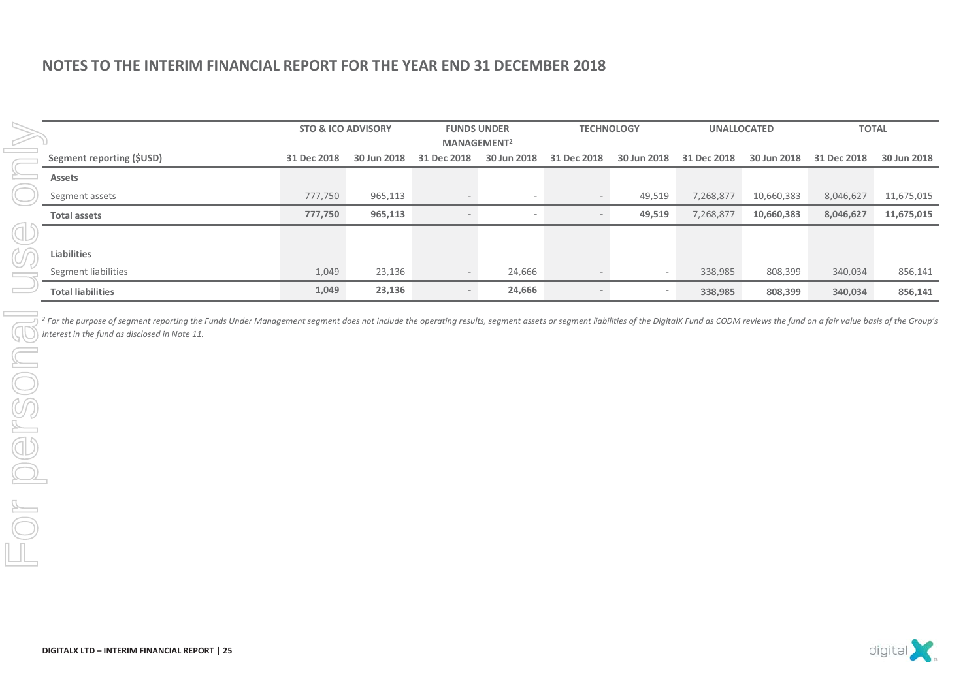|                           | <b>STO &amp; ICO ADVISORY</b> |             | <b>FUNDS UNDER</b><br>MANAGEMENT <sup>2</sup> |                          | <b>TECHNOLOGY</b> |                          | <b>UNALLOCATED</b> |             | <b>TOTAL</b> |             |
|---------------------------|-------------------------------|-------------|-----------------------------------------------|--------------------------|-------------------|--------------------------|--------------------|-------------|--------------|-------------|
| Segment reporting (\$USD) | 31 Dec 2018                   | 30 Jun 2018 | 31 Dec 2018                                   | 30 Jun 2018              | 31 Dec 2018       | 30 Jun 2018              | 31 Dec 2018        | 30 Jun 2018 | 31 Dec 2018  | 30 Jun 2018 |
| Assets                    |                               |             |                                               |                          |                   |                          |                    |             |              |             |
| Segment assets            | 777,750                       | 965,113     |                                               | $\overline{\phantom{a}}$ |                   | 49,519                   | 7,268,877          | 10,660,383  | 8,046,627    | 11,675,015  |
| <b>Total assets</b>       | 777,750                       | 965,113     |                                               | $\overline{\phantom{a}}$ |                   | 49,519                   | 7,268,877          | 10,660,383  | 8,046,627    | 11,675,015  |
|                           |                               |             |                                               |                          |                   |                          |                    |             |              |             |
| <b>Liabilities</b>        |                               |             |                                               |                          |                   |                          |                    |             |              |             |
| Segment liabilities       | 1,049                         | 23,136      |                                               | 24,666                   |                   | $\overline{\phantom{a}}$ | 338,985            | 808,399     | 340,034      | 856,141     |
| <b>Total liabilities</b>  | 1,049                         | 23,136      |                                               | 24,666                   |                   |                          | 338,985            | 808,399     | 340,034      | 856,141     |

<sup>2</sup> For the purpose of segment reporting the Funds Under Management segment does not include the operating results, segment assets or segment liabilities of the DigitalX Fund as CODM reviews the fund on a fair value basis *interest in the fund as disclosed in Note 11.* 



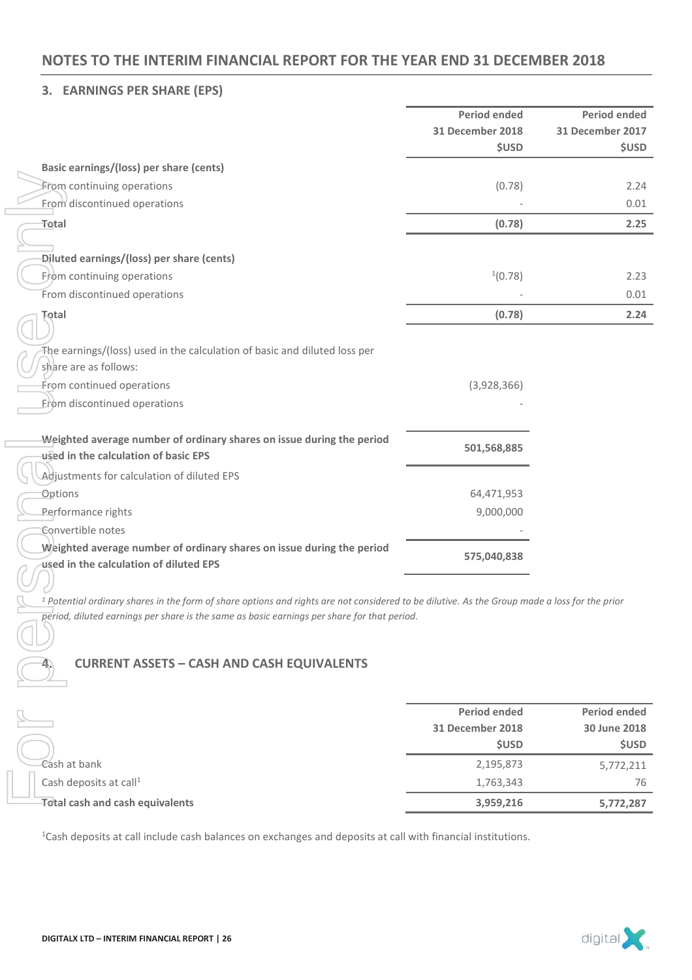### **3. EARNINGS PER SHARE (EPS)**

|                                                                                                                                                          | <b>Period ended</b>     | <b>Period ended</b> |
|----------------------------------------------------------------------------------------------------------------------------------------------------------|-------------------------|---------------------|
|                                                                                                                                                          | <b>31 December 2018</b> | 31 December 2017    |
|                                                                                                                                                          | <b>\$USD</b>            | <b>\$USD</b>        |
| Basic earnings/(loss) per share (cents)                                                                                                                  |                         |                     |
| From continuing operations                                                                                                                               | (0.78)                  | 2.24                |
| From discontinued operations                                                                                                                             |                         | 0.01                |
| Total                                                                                                                                                    | (0.78)                  | 2.25                |
|                                                                                                                                                          |                         |                     |
| Diluted earnings/(loss) per share (cents)                                                                                                                |                         |                     |
| Erom continuing operations                                                                                                                               | $^{1}(0.78)$            | 2.23                |
| From discontinued operations                                                                                                                             |                         | 0.01                |
| <b>Total</b>                                                                                                                                             | (0.78)                  | 2.24                |
| The earnings/(loss) used in the calculation of basic and diluted loss per<br>share are as follows:                                                       |                         |                     |
| From continued operations                                                                                                                                | (3,928,366)             |                     |
| Erom discontinued operations                                                                                                                             |                         |                     |
|                                                                                                                                                          |                         |                     |
| Weighted average number of ordinary shares on issue during the period<br>used in the calculation of basic EPS                                            | 501,568,885             |                     |
| Adjustments for calculation of diluted EPS                                                                                                               |                         |                     |
| <b>Options</b>                                                                                                                                           | 64,471,953              |                     |
| Performance rights                                                                                                                                       | 9,000,000               |                     |
| Convertible notes                                                                                                                                        |                         |                     |
| Weighted average number of ordinary shares on issue during the period                                                                                    |                         |                     |
| used in the calculation of diluted EPS                                                                                                                   | 575,040,838             |                     |
| <sup>1</sup> Potential ordinary shares in the form of share options and rights are not considered to be dilutive. As the Group made a loss for the prior |                         |                     |
| period, diluted earnings per share is the same as basic earnings per share for that period.                                                              |                         |                     |
|                                                                                                                                                          |                         |                     |
| <b>CURRENT ASSETS - CASH AND CASH EQUIVALENTS</b>                                                                                                        |                         |                     |
|                                                                                                                                                          |                         |                     |
|                                                                                                                                                          | <b>Period ended</b>     | <b>Period ended</b> |
|                                                                                                                                                          | 31 December 2018        | 30 June 2018        |
|                                                                                                                                                          | <b>\$USD</b>            | <b>\$USD</b>        |
| Cash at bank                                                                                                                                             | 2,195,873               | 5,772,211           |
| Cash deposits at call <sup>1</sup>                                                                                                                       | 1,763,343               | 76                  |
| <b>Total cash and cash equivalents</b>                                                                                                                   | 3,959,216               | 5,772,287           |
| <sup>1</sup> Cash deposits at call include cash balances on exchanges and deposits at call with financial institutions.                                  |                         |                     |

### **4. CURRENT ASSETS – CASH AND CASH EQUIVALENTS**

|                                        | <b>Period ended</b><br>31 December 2018<br><b>SUSD</b> | <b>Period ended</b><br>30 June 2018<br><b>\$USD</b> |
|----------------------------------------|--------------------------------------------------------|-----------------------------------------------------|
| Cash at bank                           | 2,195,873                                              | 5,772,211                                           |
| Cash deposits at call <sup>1</sup>     | 1,763,343                                              | 76                                                  |
| <b>Total cash and cash equivalents</b> | 3,959,216                                              | 5,772,287                                           |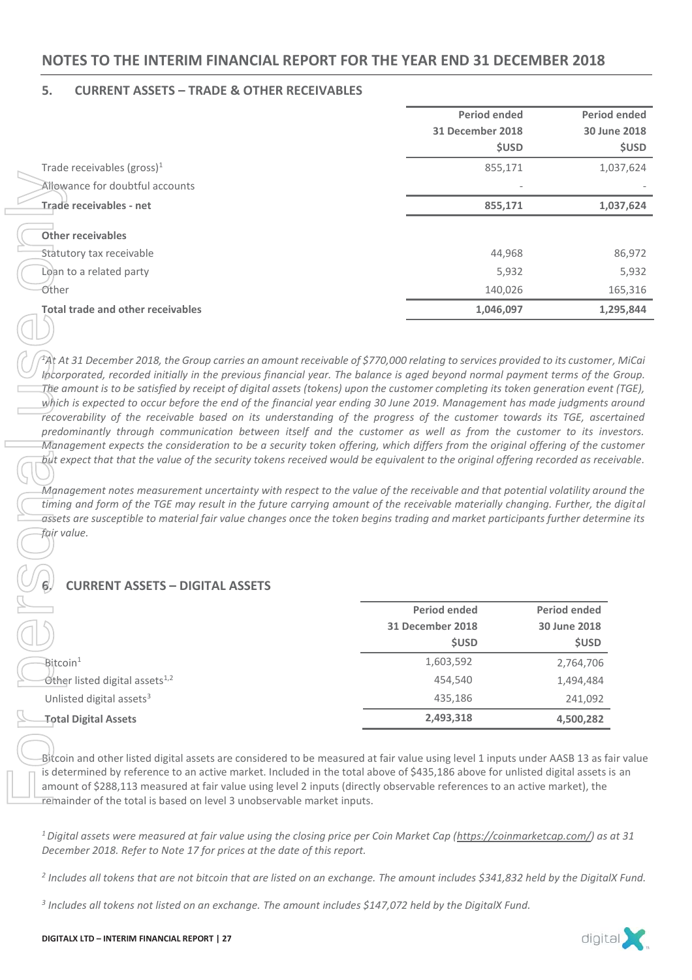### **5. CURRENT ASSETS – TRADE & OTHER RECEIVABLES**

|                                                                                                                                                                                                                                                                                                                                                                                                                                                                                                                                                                                                                                                                                                                                                                                                                                                          | <b>Period ended</b>              | <b>Period ended</b>          |              |
|----------------------------------------------------------------------------------------------------------------------------------------------------------------------------------------------------------------------------------------------------------------------------------------------------------------------------------------------------------------------------------------------------------------------------------------------------------------------------------------------------------------------------------------------------------------------------------------------------------------------------------------------------------------------------------------------------------------------------------------------------------------------------------------------------------------------------------------------------------|----------------------------------|------------------------------|--------------|
|                                                                                                                                                                                                                                                                                                                                                                                                                                                                                                                                                                                                                                                                                                                                                                                                                                                          | <b>31 December 2018</b>          | 30 June 2018                 |              |
|                                                                                                                                                                                                                                                                                                                                                                                                                                                                                                                                                                                                                                                                                                                                                                                                                                                          | <b>\$USD</b>                     |                              | <b>\$USD</b> |
| Trade receivables (gross) <sup>1</sup>                                                                                                                                                                                                                                                                                                                                                                                                                                                                                                                                                                                                                                                                                                                                                                                                                   | 855,171                          |                              | 1,037,624    |
| Allewance for doubtful accounts                                                                                                                                                                                                                                                                                                                                                                                                                                                                                                                                                                                                                                                                                                                                                                                                                          |                                  |                              |              |
| Trade receivables - net                                                                                                                                                                                                                                                                                                                                                                                                                                                                                                                                                                                                                                                                                                                                                                                                                                  | 855,171                          |                              | 1,037,624    |
|                                                                                                                                                                                                                                                                                                                                                                                                                                                                                                                                                                                                                                                                                                                                                                                                                                                          |                                  |                              |              |
| <b>Other receivables</b>                                                                                                                                                                                                                                                                                                                                                                                                                                                                                                                                                                                                                                                                                                                                                                                                                                 |                                  |                              |              |
| Statutory tax receivable                                                                                                                                                                                                                                                                                                                                                                                                                                                                                                                                                                                                                                                                                                                                                                                                                                 | 44,968                           |                              | 86,972       |
| Loan to a related party                                                                                                                                                                                                                                                                                                                                                                                                                                                                                                                                                                                                                                                                                                                                                                                                                                  | 5,932                            |                              | 5,932        |
| Other                                                                                                                                                                                                                                                                                                                                                                                                                                                                                                                                                                                                                                                                                                                                                                                                                                                    | 140,026                          |                              | 165,316      |
| <b>Total trade and other receivables</b>                                                                                                                                                                                                                                                                                                                                                                                                                                                                                                                                                                                                                                                                                                                                                                                                                 | 1,046,097                        | 1,295,844                    |              |
|                                                                                                                                                                                                                                                                                                                                                                                                                                                                                                                                                                                                                                                                                                                                                                                                                                                          |                                  |                              |              |
| recoverability of the receivable based on its understanding of the progress of the customer towards its TGE, ascertained<br>predominantly through communication between itself and the customer as well as from the customer to its investors.<br>Management expects the consideration to be a security token offering, which differs from the original offering of the customer<br>but expect that that the value of the security tokens received would be equivalent to the original offering recorded as receivable.                                                                                                                                                                                                                                                                                                                                  |                                  |                              |              |
| Management notes measurement uncertainty with respect to the value of the receivable and that potential volatility around the<br>timing and form of the TGE may result in the future carrying amount of the receivable materially changing. Further, the digital<br>assets are susceptible to material fair value changes once the token begins trading and market participants further determine its<br>fair value.<br><b>CURRENT ASSETS - DIGITAL ASSETS</b>                                                                                                                                                                                                                                                                                                                                                                                           |                                  |                              |              |
|                                                                                                                                                                                                                                                                                                                                                                                                                                                                                                                                                                                                                                                                                                                                                                                                                                                          |                                  |                              |              |
|                                                                                                                                                                                                                                                                                                                                                                                                                                                                                                                                                                                                                                                                                                                                                                                                                                                          | <b>Period ended</b>              | <b>Period ended</b>          |              |
|                                                                                                                                                                                                                                                                                                                                                                                                                                                                                                                                                                                                                                                                                                                                                                                                                                                          | 31 December 2018<br><b>\$USD</b> | 30 June 2018<br><b>\$USD</b> |              |
|                                                                                                                                                                                                                                                                                                                                                                                                                                                                                                                                                                                                                                                                                                                                                                                                                                                          |                                  |                              |              |
| Bitcoin <sup>1</sup>                                                                                                                                                                                                                                                                                                                                                                                                                                                                                                                                                                                                                                                                                                                                                                                                                                     | 1,603,592                        | 2,764,706                    |              |
| Other listed digital assets <sup>1,2</sup>                                                                                                                                                                                                                                                                                                                                                                                                                                                                                                                                                                                                                                                                                                                                                                                                               | 454,540                          | 1,494,484                    |              |
| Unlisted digital assets <sup>3</sup><br><b>Total Digital Assets</b>                                                                                                                                                                                                                                                                                                                                                                                                                                                                                                                                                                                                                                                                                                                                                                                      | 435,186<br>2,493,318             | 241,092<br>4,500,282         |              |
| Bitcoin and other listed digital assets are considered to be measured at fair value using level 1 inputs under AASB 13 as fair value<br>is determined by reference to an active market. Included in the total above of \$435,186 above for unlisted digital assets is an<br>amount of \$288,113 measured at fair value using level 2 inputs (directly observable references to an active market), the<br>remainder of the total is based on level 3 unobservable market inputs.<br><sup>1</sup> Digital assets were measured at fair value using the closing price per Coin Market Cap (https://coinmarketcap.com/) as at 31<br>December 2018. Refer to Note 17 for prices at the date of this report.<br><sup>2</sup> Includes all tokens that are not bitcoin that are listed on an exchange. The amount includes \$341,832 held by the DigitalX Fund. |                                  |                              |              |

### **6. CURRENT ASSETS – DIGITAL ASSETS**

|                                            | <b>Period ended</b><br>31 December 2018<br><b>\$USD</b> | <b>Period ended</b><br>30 June 2018<br><b>\$USD</b> |
|--------------------------------------------|---------------------------------------------------------|-----------------------------------------------------|
| $\mathsf{Bitcoin}^1$                       | 1,603,592                                               | 2,764,706                                           |
| Other listed digital assets <sup>1,2</sup> | 454,540                                                 | 1,494,484                                           |
| Unlisted digital assets <sup>3</sup>       | 435,186                                                 | 241,092                                             |
| Total Digital Assets                       | 2,493,318                                               | 4,500,282                                           |

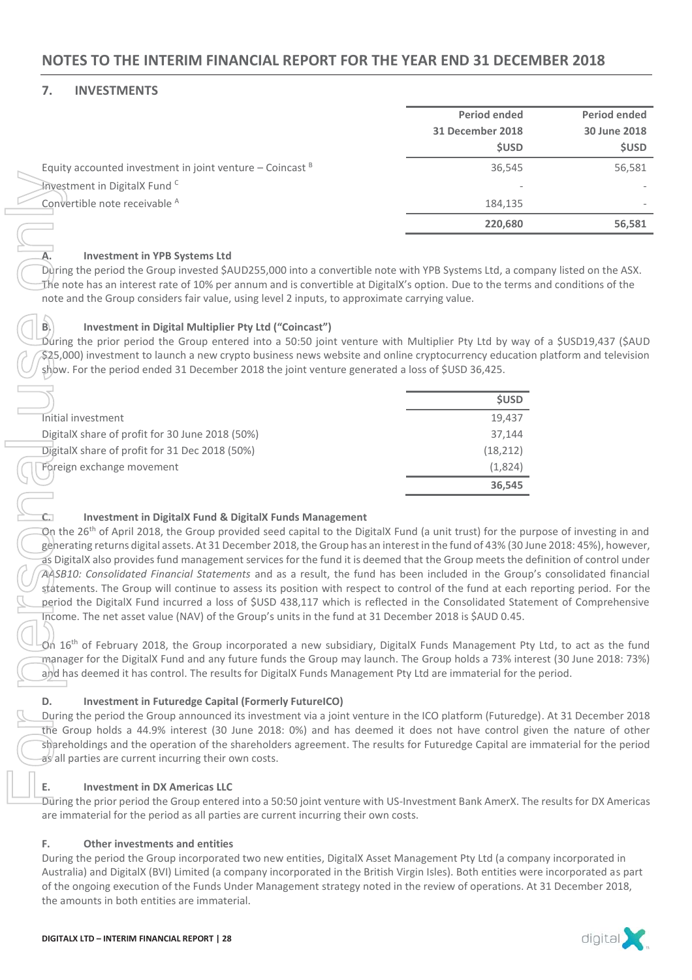### **7. INVESTMENTS**

|                                                             | <b>Period ended</b> | Period ended |
|-------------------------------------------------------------|---------------------|--------------|
|                                                             | 31 December 2018    | 30 June 2018 |
|                                                             | <b>\$USD</b>        | <b>\$USD</b> |
| Equity accounted investment in joint venture – Coincast $B$ | 36,545              | 56,581       |
| Investment in DigitalX Fund <sup>C</sup>                    |                     |              |
| Convertible note receivable A                               | 184.135             |              |
|                                                             | 220,680             | 56,581       |

### **A. Investment in YPB Systems Ltd**

During the period the Group invested \$AUD255,000 into a convertible note with YPB Systems Ltd, a company listed on the ASX. The note has an interest rate of 10% per annum and is convertible at DigitalX's option. Due to the terms and conditions of the note and the Group considers fair value, using level 2 inputs, to approximate carrying value.

### **B. Investment in Digital Multiplier Pty Ltd ("Coincast")**

 $\tilde{\rm D}$ uring the prior period the Group entered into a 50:50 joint venture with Multiplier Pty Ltd by way of a \$USD19,437 (\$AUD \$25,000) investment to launch a new crypto business news website and online cryptocurrency education platform and television show. For the period ended 31 December 2018 the joint venture generated a loss of \$USD 36,425.

| Investment in DigitalX Fund <sup>C</sup>                                                                                                                                                                                     |              |
|------------------------------------------------------------------------------------------------------------------------------------------------------------------------------------------------------------------------------|--------------|
| Convertible note receivable A                                                                                                                                                                                                | 184,135      |
|                                                                                                                                                                                                                              | 220,680      |
|                                                                                                                                                                                                                              |              |
| <b>Investment in YPB Systems Ltd</b>                                                                                                                                                                                         |              |
| During the period the Group invested \$AUD255,000 into a convertible note with YPB Systems Ltd, a com                                                                                                                        |              |
| The note has an interest rate of 10% per annum and is convertible at DigitalX's option. Due to the terms                                                                                                                     |              |
| note and the Group considers fair value, using level 2 inputs, to approximate carrying value.                                                                                                                                |              |
| Investment in Digital Multiplier Pty Ltd ("Coincast")<br>B.                                                                                                                                                                  |              |
| During the prior period the Group entered into a 50:50 joint venture with Multiplier Pty Ltd by way                                                                                                                          |              |
| \$25,000) investment to launch a new crypto business news website and online cryptocurrency educatio                                                                                                                         |              |
| show. For the period ended 31 December 2018 the joint venture generated a loss of \$USD 36,425.                                                                                                                              |              |
|                                                                                                                                                                                                                              |              |
|                                                                                                                                                                                                                              | <b>\$USD</b> |
| Initial investment                                                                                                                                                                                                           | 19,437       |
| DigitalX share of profit for 30 June 2018 (50%)                                                                                                                                                                              | 37,144       |
| DigitalX share of profit for 31 Dec 2018 (50%)                                                                                                                                                                               | (18, 212)    |
| Foreign exchange movement                                                                                                                                                                                                    | (1,824)      |
|                                                                                                                                                                                                                              | 36,545       |
|                                                                                                                                                                                                                              |              |
| <b>Investment in DigitalX Fund &amp; DigitalX Funds Management</b>                                                                                                                                                           |              |
| On the 26 <sup>th</sup> of April 2018, the Group provided seed capital to the DigitalX Fund (a unit trust) for the pu                                                                                                        |              |
| generating returns digital assets. At 31 December 2018, the Group has an interest in the fund of 43% (30 Ju                                                                                                                  |              |
| as DigitalX also provides fund management services for the fund it is deemed that the Group meets the d                                                                                                                      |              |
| AASB10: Consolidated Financial Statements and as a result, the fund has been included in the Group                                                                                                                           |              |
| statements. The Group will continue to assess its position with respect to control of the fund at each i                                                                                                                     |              |
| period the DigitalX Fund incurred a loss of \$USD 438,117 which is reflected in the Consolidated State                                                                                                                       |              |
| Income. The net asset value (NAV) of the Group's units in the fund at 31 December 2018 is \$AUD 0.45.                                                                                                                        |              |
|                                                                                                                                                                                                                              |              |
| $\vec{O}$ n 16 <sup>th</sup> of February 2018, the Group incorporated a new subsidiary, DigitalX Funds Management Pty<br>manager for the DigitalX Fund and any future funds the Group may launch. The Group holds a 73% inte |              |
| and has deemed it has control. The results for DigitalX Funds Management Pty Ltd are immaterial for the                                                                                                                      |              |
|                                                                                                                                                                                                                              |              |
| D.<br><b>Investment in Futuredge Capital (Formerly FutureICO)</b>                                                                                                                                                            |              |
| During the period the Group announced its investment via a joint venture in the ICO platform (Futuredg                                                                                                                       |              |
| the Group holds a 44.9% interest (30 June 2018: 0%) and has deemed it does not have control gi                                                                                                                               |              |
| shareholdings and the operation of the shareholders agreement. The results for Futuredge Capital are i                                                                                                                       |              |
| as all parties are current incurring their own costs.                                                                                                                                                                        |              |
|                                                                                                                                                                                                                              |              |
| Ε.<br><b>Investment in DX Americas LLC</b>                                                                                                                                                                                   |              |
| During the prior period the Group entered into a 50:50 joint venture with US-Investment Bank AmerX. Th                                                                                                                       |              |
| are immaterial for the period as all parties are current incurring their own costs.                                                                                                                                          |              |
| F.<br>Other investments and entities                                                                                                                                                                                         |              |
| During the period the Group incorporated two new entities, DigitalX Asset Management Pty Ltd (a comp                                                                                                                         |              |
| Australia) and DigitalX (BVI) Limited (a company incorporated in the British Virgin Isles). Both entities we                                                                                                                 |              |
| of the ongoing execution of the Funds Under Management strategy noted in the review of operations. A                                                                                                                         |              |
| the amounts in both entities are immaterial.                                                                                                                                                                                 |              |

### **C. Investment in DigitalX Fund & DigitalX Funds Management**

On the 26<sup>th</sup> of April 2018, the Group provided seed capital to the DigitalX Fund (a unit trust) for the purpose of investing in and generating returns digital assets. At 31 December 2018, the Group has an interest in the fund of 43% (30 June 2018: 45%), however, as DigitalX also provides fund management services for the fund it is deemed that the Group meets the definition of control under *AASB10: Consolidated Financial Statements* and as a result, the fund has been included in the Group's consolidated financial statements. The Group will continue to assess its position with respect to control of the fund at each reporting period. For the period the DigitalX Fund incurred a loss of \$USD 438,117 which is reflected in the Consolidated Statement of Comprehensive Income. The net asset value (NAV) of the Group's units in the fund at 31 December 2018 is \$AUD 0.45.

 $\tilde{O}$ n 16<sup>th</sup> of February 2018, the Group incorporated a new subsidiary, DigitalX Funds Management Pty Ltd, to act as the fund manager for the DigitalX Fund and any future funds the Group may launch. The Group holds a 73% interest (30 June 2018: 73%) and has deemed it has control. The results for DigitalX Funds Management Pty Ltd are immaterial for the period.

### **D. Investment in Futuredge Capital (Formerly FutureICO)**

During the period the Group announced its investment via a joint venture in the ICO platform (Futuredge). At 31 December 2018 the Group holds a 44.9% interest (30 June 2018: 0%) and has deemed it does not have control given the nature of other shareholdings and the operation of the shareholders agreement. The results for Futuredge Capital are immaterial for the period as all parties are current incurring their own costs.

### **E. Investment in DX Americas LLC**

During the prior period the Group entered into a 50:50 joint venture with US-Investment Bank AmerX. The results for DX Americas are immaterial for the period as all parties are current incurring their own costs.

### **F. Other investments and entities**

During the period the Group incorporated two new entities, DigitalX Asset Management Pty Ltd (a company incorporated in Australia) and DigitalX (BVI) Limited (a company incorporated in the British Virgin Isles). Both entities were incorporated as part of the ongoing execution of the Funds Under Management strategy noted in the review of operations. At 31 December 2018,

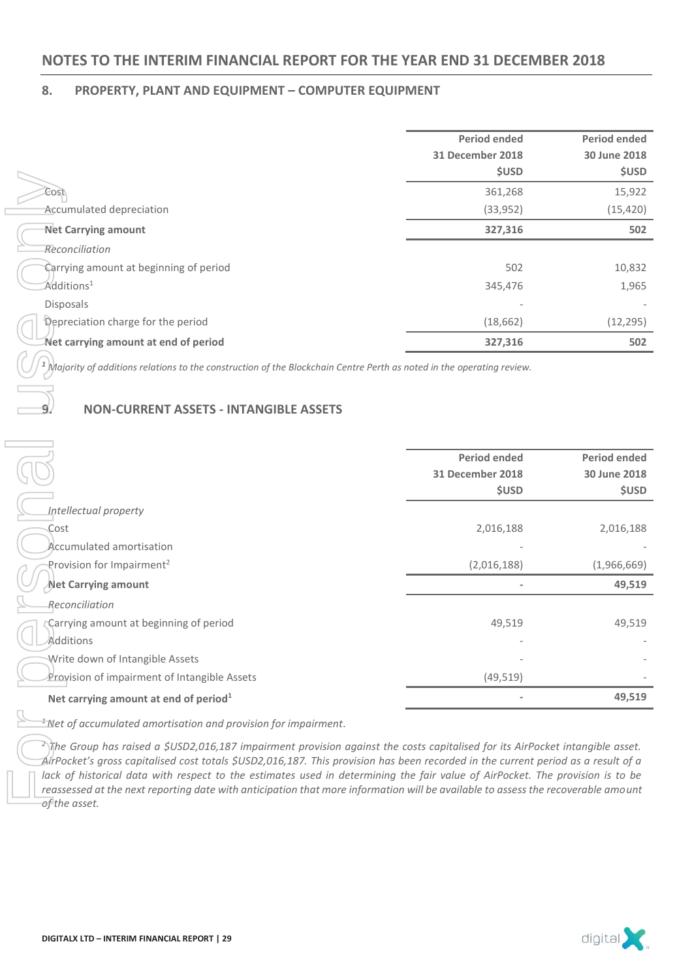### **8. PROPERTY, PLANT AND EQUIPMENT – COMPUTER EQUIPMENT**

|                                        | <b>Period ended</b> | <b>Period ended</b> |
|----------------------------------------|---------------------|---------------------|
|                                        | 31 December 2018    | 30 June 2018        |
|                                        | <b>\$USD</b>        | <b>\$USD</b>        |
| Cost                                   | 361,268             | 15,922              |
| Accumulated depreciation               | (33, 952)           | (15, 420)           |
| <b>Net Carrying amount</b>             | 327,316             | 502                 |
| Reconciliation                         |                     |                     |
| Carrying amount at beginning of period | 502                 | 10,832              |
| Additions <sup>1</sup>                 | 345,476             | 1,965               |
| <b>Disposals</b>                       |                     |                     |
| Depreciation charge for the period     | (18, 662)           | (12, 295)           |
| Net carrying amount at end of period   | 327,316             | 502                 |

### **9. NON-CURRENT ASSETS - INTANGIBLE ASSETS**

|                                                                                                                                                                                                                                                                                                                                                                                                                                                                                                                                                                | שכטכ                | שכטכ                |
|----------------------------------------------------------------------------------------------------------------------------------------------------------------------------------------------------------------------------------------------------------------------------------------------------------------------------------------------------------------------------------------------------------------------------------------------------------------------------------------------------------------------------------------------------------------|---------------------|---------------------|
| Cost                                                                                                                                                                                                                                                                                                                                                                                                                                                                                                                                                           | 361,268             | 15,922              |
| Accumulated depreciation                                                                                                                                                                                                                                                                                                                                                                                                                                                                                                                                       | (33,952)            | (15, 420)           |
| <b>Net Carrying amount</b>                                                                                                                                                                                                                                                                                                                                                                                                                                                                                                                                     | 327,316             | 502                 |
| Reconciliation                                                                                                                                                                                                                                                                                                                                                                                                                                                                                                                                                 |                     |                     |
| Carrying amount at beginning of period                                                                                                                                                                                                                                                                                                                                                                                                                                                                                                                         | 502                 | 10,832              |
| $\mathsf{Additions}^1$                                                                                                                                                                                                                                                                                                                                                                                                                                                                                                                                         | 345,476             | 1,965               |
| Disposals                                                                                                                                                                                                                                                                                                                                                                                                                                                                                                                                                      |                     |                     |
| Depreciation charge for the period                                                                                                                                                                                                                                                                                                                                                                                                                                                                                                                             | (18, 662)           | (12, 295)           |
| Net carrying amount at end of period                                                                                                                                                                                                                                                                                                                                                                                                                                                                                                                           | 327,316             | 502                 |
| $\frac{1}{2}$ Majority of additions relations to the construction of the Blockchain Centre Perth as noted in the operating review.                                                                                                                                                                                                                                                                                                                                                                                                                             |                     |                     |
| <b>NON-CURRENT ASSETS - INTANGIBLE ASSETS</b>                                                                                                                                                                                                                                                                                                                                                                                                                                                                                                                  |                     |                     |
|                                                                                                                                                                                                                                                                                                                                                                                                                                                                                                                                                                | <b>Period ended</b> | <b>Period ended</b> |
|                                                                                                                                                                                                                                                                                                                                                                                                                                                                                                                                                                | 31 December 2018    | 30 June 2018        |
|                                                                                                                                                                                                                                                                                                                                                                                                                                                                                                                                                                | <b>\$USD</b>        | <b>\$USD</b>        |
| Intellectual property                                                                                                                                                                                                                                                                                                                                                                                                                                                                                                                                          |                     |                     |
| Cost                                                                                                                                                                                                                                                                                                                                                                                                                                                                                                                                                           | 2,016,188           | 2,016,188           |
| Accumulated amortisation                                                                                                                                                                                                                                                                                                                                                                                                                                                                                                                                       |                     |                     |
| Provision for Impairment <sup>2</sup>                                                                                                                                                                                                                                                                                                                                                                                                                                                                                                                          | (2,016,188)         | (1,966,669)         |
| Net Carrying amount                                                                                                                                                                                                                                                                                                                                                                                                                                                                                                                                            |                     | 49,519              |
| Reconciliation                                                                                                                                                                                                                                                                                                                                                                                                                                                                                                                                                 |                     |                     |
| Carrying amount at beginning of period                                                                                                                                                                                                                                                                                                                                                                                                                                                                                                                         | 49,519              | 49,519              |
| Additions                                                                                                                                                                                                                                                                                                                                                                                                                                                                                                                                                      |                     |                     |
| Write down of Intangible Assets                                                                                                                                                                                                                                                                                                                                                                                                                                                                                                                                |                     |                     |
| Provision of impairment of Intangible Assets                                                                                                                                                                                                                                                                                                                                                                                                                                                                                                                   | (49, 519)           |                     |
| Net carrying amount at end of period <sup>1</sup>                                                                                                                                                                                                                                                                                                                                                                                                                                                                                                              |                     | 49,519              |
| $\frac{1}{2}$ Net of accumulated amortisation and provision for impairment.                                                                                                                                                                                                                                                                                                                                                                                                                                                                                    |                     |                     |
| $\sqrt[2]{\pi}$ he Group has raised a \$USD2,016,187 impairment provision against the costs capitalised for its AirPocket intangible asset.<br>$\hat{A}$ irPocket's gross capitalised cost totals \$USD2,016,187. This provision has been recorded in the current period as a result of a<br>lack of historical data with respect to the estimates used in determining the fair value of AirPocket. The provision is to be<br>reassessed at the next reporting date with anticipation that more information will be available to assess the recoverable amount |                     |                     |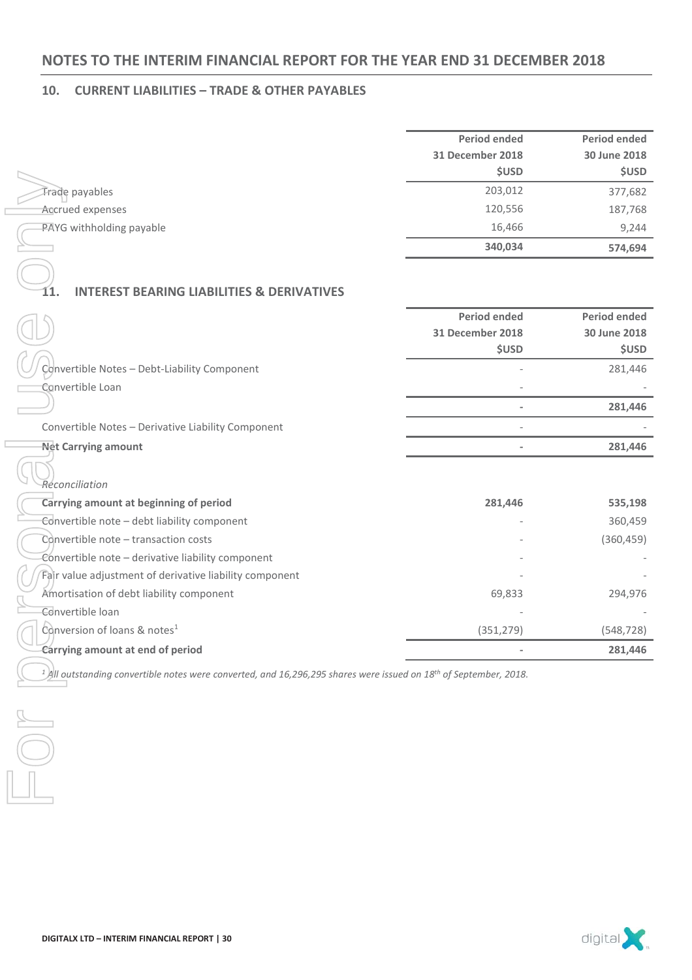### **10. CURRENT LIABILITIES – TRADE & OTHER PAYABLES**

| <b>Period ended</b> | Period ended |
|---------------------|--------------|
| 31 December 2018    | 30 June 2018 |
| <b>\$USD</b>        | <b>\$USD</b> |
| 203,012             | 377,682      |
| 120,556             | 187,768      |
| 16,466              | 9,244        |
| 340,034             | 574,694      |
|                     |              |

### **11. INTEREST BEARING LIABILITIES & DERIVATIVES**

|                                                    | <b>Period ended</b><br>31 December 2018<br><b>\$USD</b> | Period ended<br>30 June 2018<br><b>\$USD</b> |
|----------------------------------------------------|---------------------------------------------------------|----------------------------------------------|
| Convertible Notes - Debt-Liability Component       |                                                         | 281,446                                      |
| Convertible Loan                                   | $\overline{\phantom{a}}$                                |                                              |
|                                                    |                                                         | 281,446                                      |
| Convertible Notes - Derivative Liability Component | $\overline{\phantom{a}}$                                |                                              |
| <b>Net Carrying amount</b>                         |                                                         | 281,446                                      |
|                                                    |                                                         |                                              |

|                                                                                                                                           | שכטכ                     | שכטכ                |
|-------------------------------------------------------------------------------------------------------------------------------------------|--------------------------|---------------------|
| Trade payables                                                                                                                            | 203,012                  | 377,682             |
| Accrued expenses                                                                                                                          | 120,556                  | 187,768             |
| PAYG withholding payable                                                                                                                  | 16,466                   | 9,244               |
|                                                                                                                                           | 340,034                  | 574,694             |
|                                                                                                                                           |                          |                     |
|                                                                                                                                           |                          |                     |
| <b>INTEREST BEARING LIABILITIES &amp; DERIVATIVES</b>                                                                                     |                          |                     |
|                                                                                                                                           | <b>Period ended</b>      | <b>Period ended</b> |
|                                                                                                                                           | <b>31 December 2018</b>  | 30 June 2018        |
|                                                                                                                                           | <b>\$USD</b>             | <b>\$USD</b>        |
| Convertible Notes - Debt-Liability Component                                                                                              |                          | 281,446             |
| Convertible Loan                                                                                                                          |                          |                     |
|                                                                                                                                           | $\overline{\phantom{0}}$ | 281,446             |
| Convertible Notes - Derivative Liability Component                                                                                        |                          |                     |
| <b>Net Carrying amount</b>                                                                                                                | $\overline{\phantom{0}}$ | 281,446             |
|                                                                                                                                           |                          |                     |
| Reconciliation                                                                                                                            |                          |                     |
| Carrying amount at beginning of period                                                                                                    | 281,446                  | 535,198             |
| Convertible note - debt liability component                                                                                               |                          | 360,459             |
| Convertible note - transaction costs                                                                                                      |                          | (360, 459)          |
| Convertible note - derivative liability component                                                                                         |                          |                     |
| Fair value adjustment of derivative liability component                                                                                   |                          |                     |
| Amortisation of debt liability component                                                                                                  | 69,833                   | 294,976             |
| Convertible loan                                                                                                                          |                          |                     |
| Conversion of loans & notes <sup>1</sup>                                                                                                  | (351, 279)               | (548, 728)          |
| Carrying amount at end of period                                                                                                          |                          | 281,446             |
| <sup>1</sup> )All outstanding convertible notes were converted, and 16,296,295 shares were issued on 18 <sup>th</sup> of September, 2018. |                          |                     |
|                                                                                                                                           |                          |                     |
|                                                                                                                                           |                          |                     |
|                                                                                                                                           |                          |                     |
|                                                                                                                                           |                          |                     |
|                                                                                                                                           |                          |                     |
|                                                                                                                                           |                          |                     |
|                                                                                                                                           |                          |                     |

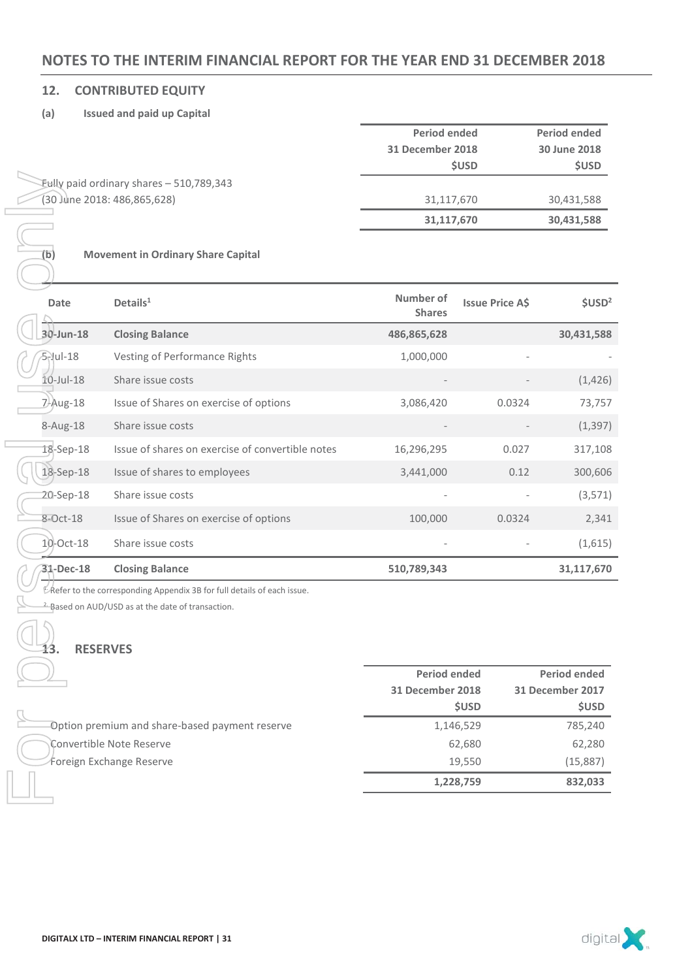### **12. CONTRIBUTED EQUITY**

### **(a) Issued and paid up Capital**

|                                             | Period ended     | <b>Period ended</b> |
|---------------------------------------------|------------------|---------------------|
|                                             | 31 December 2018 | 30 June 2018        |
|                                             | <b>SUSD</b>      | <b>\$USD</b>        |
| $Eully$ paid ordinary shares $-510,789,343$ |                  |                     |
| (30 June 2018: 486,865,628)                 | 31,117,670       | 30,431,588          |
|                                             | 31,117,670       | 30,431,588          |

### **(b) Movement in Ordinary Share Capital**

| (b)             | Eully paid ordinary shares - 510,789,343<br>(30 June 2018: 486,865,628)<br><b>Movement in Ordinary Share Capital</b>                           | 31,117,670<br>31,117,670   |                        | 30,431,588<br>30,431,588         |
|-----------------|------------------------------------------------------------------------------------------------------------------------------------------------|----------------------------|------------------------|----------------------------------|
| Date            | Details $1$                                                                                                                                    | Number of<br><b>Shares</b> | <b>Issue Price A\$</b> | \$USD <sup>2</sup>               |
| 30-Jun-18       | <b>Closing Balance</b>                                                                                                                         | 486,865,628                |                        | 30,431,588                       |
| $5$ -Jul-18     | Vesting of Performance Rights                                                                                                                  | 1,000,000                  |                        |                                  |
| $10$ -Jul- $18$ | Share issue costs                                                                                                                              |                            |                        | (1, 426)                         |
| 7-Aug-18        | Issue of Shares on exercise of options                                                                                                         | 3,086,420                  | 0.0324                 | 73,757                           |
| 8-Aug-18        | Share issue costs                                                                                                                              |                            |                        | (1, 397)                         |
| 18-Sep-18       | Issue of shares on exercise of convertible notes                                                                                               | 16,296,295                 | 0.027                  | 317,108                          |
| 18-Sep-18       | Issue of shares to employees                                                                                                                   | 3,441,000                  | 0.12                   | 300,606                          |
| 20-Sep-18       | Share issue costs                                                                                                                              |                            |                        | (3,571)                          |
| 8-Oct-18        | Issue of Shares on exercise of options                                                                                                         | 100,000                    | 0.0324                 | 2,341                            |
| 10-Oct-18       | Share issue costs                                                                                                                              |                            |                        | (1,615)                          |
| 31-Dec-18       | <b>Closing Balance</b>                                                                                                                         | 510,789,343                |                        | 31,117,670                       |
| 13.             | L Refer to the corresponding Appendix 3B for full details of each issue.<br>Based on AUD/USD as at the date of transaction.<br><b>RESERVES</b> |                            |                        |                                  |
|                 |                                                                                                                                                | <b>Period ended</b>        |                        | <b>Period ended</b>              |
|                 |                                                                                                                                                | 31 December 2018           | <b>\$USD</b>           | 31 December 2017<br><b>\$USD</b> |
|                 | Option premium and share-based payment reserve                                                                                                 |                            | 1,146,529              | 785,240                          |
|                 | Convertible Note Reserve                                                                                                                       |                            | 62,680                 | 62,280                           |
|                 | Foreign Exchange Reserve                                                                                                                       |                            | 19,550<br>1,228,759    | (15, 887)<br>832,033             |
|                 |                                                                                                                                                |                            |                        |                                  |

### **13. RESERVES**

 $\Box$ 

|                                                 | <b>Period ended</b> | <b>Period ended</b> |  |
|-------------------------------------------------|---------------------|---------------------|--|
|                                                 | 31 December 2018    | 31 December 2017    |  |
|                                                 | <b>SUSD</b>         | <b>\$USD</b>        |  |
| -Option premium and share-based payment reserve | 1,146,529           | 785,240             |  |
| Convertible Note Reserve                        | 62,680              | 62,280              |  |
| Foreign Exchange Reserve                        | 19,550              | (15,887)            |  |
|                                                 | 1,228,759           | 832,033             |  |

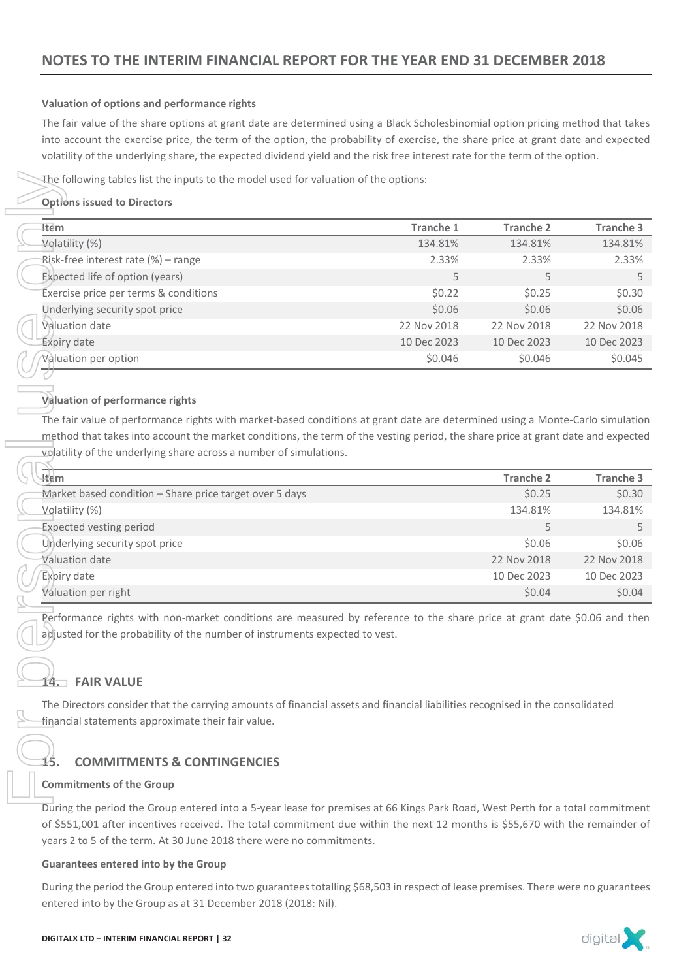### **Valuation of options and performance rights**

The fair value of the share options at grant date are determined using a Black Scholesbinomial option pricing method that takes into account the exercise price, the term of the option, the probability of exercise, the share price at grant date and expected volatility of the underlying share, the expected dividend yield and the risk free interest rate for the term of the option.

### **Options issued to Directors**

|                                                                                                                                                                                                                                                                                                                                       | The following tables list the inputs to the model used for valuation of the options:                                                                                                                                                                              |                  |                  |  |  |  |
|---------------------------------------------------------------------------------------------------------------------------------------------------------------------------------------------------------------------------------------------------------------------------------------------------------------------------------------|-------------------------------------------------------------------------------------------------------------------------------------------------------------------------------------------------------------------------------------------------------------------|------------------|------------------|--|--|--|
| <b>Options issued to Directors</b><br>ltem                                                                                                                                                                                                                                                                                            | <b>Tranche 1</b>                                                                                                                                                                                                                                                  | <b>Tranche 2</b> | <b>Tranche 3</b> |  |  |  |
| Volatility (%)                                                                                                                                                                                                                                                                                                                        | 134.81%                                                                                                                                                                                                                                                           | 134.81%          | 134.81%          |  |  |  |
| Risk-free interest rate (%) - range                                                                                                                                                                                                                                                                                                   | 2.33%                                                                                                                                                                                                                                                             | 2.33%            | 2.33%            |  |  |  |
| Expected life of option (years)                                                                                                                                                                                                                                                                                                       | 5                                                                                                                                                                                                                                                                 | 5                | 5                |  |  |  |
| Exercise price per terms & conditions                                                                                                                                                                                                                                                                                                 | \$0.22                                                                                                                                                                                                                                                            | \$0.25           | \$0.30           |  |  |  |
| Underlying security spot price                                                                                                                                                                                                                                                                                                        | \$0.06                                                                                                                                                                                                                                                            | \$0.06           | \$0.06           |  |  |  |
| Valuation date                                                                                                                                                                                                                                                                                                                        | 22 Nov 2018                                                                                                                                                                                                                                                       | 22 Nov 2018      | 22 Nov 2018      |  |  |  |
| <b>Expiry date</b>                                                                                                                                                                                                                                                                                                                    | 10 Dec 2023                                                                                                                                                                                                                                                       | 10 Dec 2023      | 10 Dec 2023      |  |  |  |
| Valuation per option                                                                                                                                                                                                                                                                                                                  | \$0.046                                                                                                                                                                                                                                                           | \$0.046          | \$0.045          |  |  |  |
| Valuation of performance rights                                                                                                                                                                                                                                                                                                       | The fair value of performance rights with market-based conditions at grant date are determined using a Monte-Carlo simulation<br>method that takes into account the market conditions, the term of the vesting period, the share price at grant date and expected |                  |                  |  |  |  |
| volatility of the underlying share across a number of simulations.                                                                                                                                                                                                                                                                    |                                                                                                                                                                                                                                                                   |                  |                  |  |  |  |
| Item.                                                                                                                                                                                                                                                                                                                                 |                                                                                                                                                                                                                                                                   | <b>Tranche 2</b> | <b>Tranche 3</b> |  |  |  |
| Market based condition - Share price target over 5 days                                                                                                                                                                                                                                                                               |                                                                                                                                                                                                                                                                   | \$0.25           | \$0.30           |  |  |  |
| Volatility (%)                                                                                                                                                                                                                                                                                                                        |                                                                                                                                                                                                                                                                   | 134.81%          | 134.81%          |  |  |  |
| <b>Expected vesting period</b>                                                                                                                                                                                                                                                                                                        |                                                                                                                                                                                                                                                                   | 5                | 5                |  |  |  |
| Underlying security spot price                                                                                                                                                                                                                                                                                                        |                                                                                                                                                                                                                                                                   | \$0.06           | \$0.06           |  |  |  |
| <b>Valuation date</b>                                                                                                                                                                                                                                                                                                                 |                                                                                                                                                                                                                                                                   | 22 Nov 2018      | 22 Nov 2018      |  |  |  |
| Expiry date                                                                                                                                                                                                                                                                                                                           |                                                                                                                                                                                                                                                                   | 10 Dec 2023      | 10 Dec 2023      |  |  |  |
| Valuation per right                                                                                                                                                                                                                                                                                                                   |                                                                                                                                                                                                                                                                   | \$0.04           | \$0.04           |  |  |  |
| <b>FAIR VALUE</b><br>4. ⊤                                                                                                                                                                                                                                                                                                             | Performance rights with non-market conditions are measured by reference to the share price at grant date \$0.06 and then<br>adjusted for the probability of the number of instruments expected to vest.                                                           |                  |                  |  |  |  |
|                                                                                                                                                                                                                                                                                                                                       | The Directors consider that the carrying amounts of financial assets and financial liabilities recognised in the consolidated<br>financial statements approximate their fair value.                                                                               |                  |                  |  |  |  |
| <b>COMMITMENTS &amp; CONTINGENCIES</b><br>15                                                                                                                                                                                                                                                                                          |                                                                                                                                                                                                                                                                   |                  |                  |  |  |  |
| <b>Commitments of the Group</b>                                                                                                                                                                                                                                                                                                       |                                                                                                                                                                                                                                                                   |                  |                  |  |  |  |
| During the period the Group entered into a 5-year lease for premises at 66 Kings Park Road, West Perth for a total commitment<br>of \$551,001 after incentives received. The total commitment due within the next 12 months is \$55,670 with the remainder of<br>years 2 to 5 of the term. At 30 June 2018 there were no commitments. |                                                                                                                                                                                                                                                                   |                  |                  |  |  |  |
| <b>Guarantees entered into by the Group</b>                                                                                                                                                                                                                                                                                           |                                                                                                                                                                                                                                                                   |                  |                  |  |  |  |
| entered into by the Group as at 31 December 2018 (2018: Nil).                                                                                                                                                                                                                                                                         | During the period the Group entered into two guarantees totalling \$68,503 in respect of lease premises. There were no guarantees                                                                                                                                 |                  |                  |  |  |  |

### **Valuation of performance rights**

| --<br>√ttem.                                                   | <b>Tranche 2</b> | <b>Tranche 3</b> |
|----------------------------------------------------------------|------------------|------------------|
| <b>Market based condition – Share price target over 5 days</b> | \$0.25           | \$0.30           |
| Volatility (%)                                                 | 134.81%          | 134.81%          |
| <b>Expected vesting period</b>                                 |                  |                  |
| Underlying security spot price                                 | \$0.06           | \$0.06           |
| Valuation date                                                 | 22 Nov 2018      | 22 Nov 2018      |
| Expiry date                                                    | 10 Dec 2023      | 10 Dec 2023      |
| Valuation per right                                            | \$0.04           | \$0.04           |

### **14. FAIR VALUE**

### **15. COMMITMENTS & CONTINGENCIES**

### **Commitments of the Group**

### **Guarantees entered into by the Group**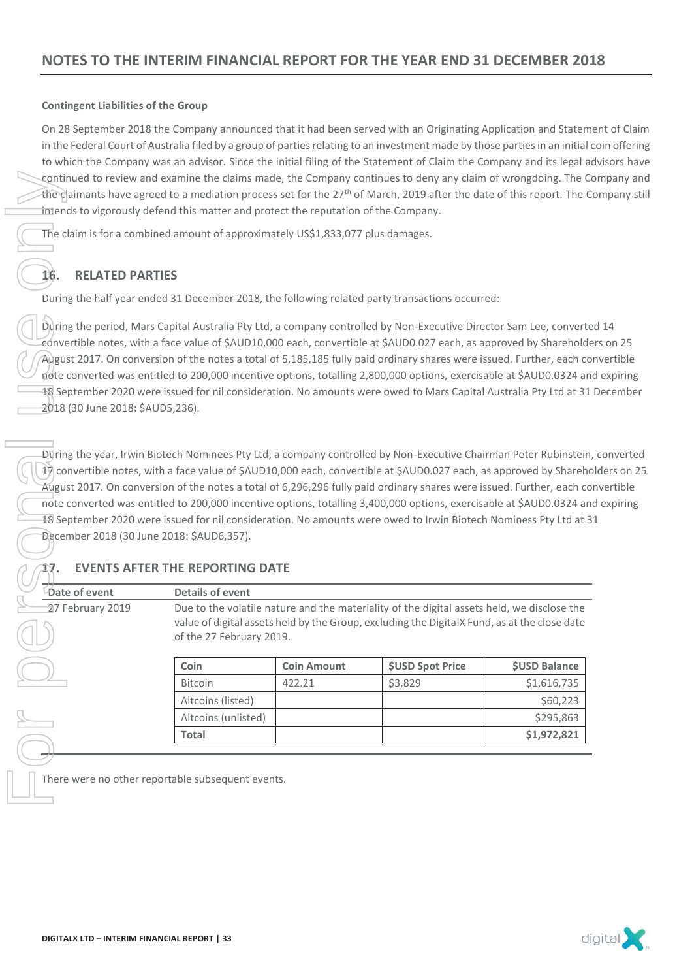### **Contingent Liabilities of the Group**

On 28 September 2018 the Company announced that it had been served with an Originating Application and Statement of Claim in the Federal Court of Australia filed by a group of parties relating to an investment made by those parties in an initial coin offering to which the Company was an advisor. Since the initial filing of the Statement of Claim the Company and its legal advisors have continued to review and examine the claims made, the Company continues to deny any claim of wrongdoing. The Company and the claimants have agreed to a mediation process set for the 27<sup>th</sup> of March, 2019 after the date of this report. The Company still intends to vigorously defend this matter and protect the reputation of the Company.

The claim is for a combined amount of approximately US\$1,833,077 plus damages.

### **16. RELATED PARTIES**

During the half year ended 31 December 2018, the following related party transactions occurred:

During the period, Mars Capital Australia Pty Ltd, a company controlled by Non-Executive Director Sam Lee, converted 14 convertible notes, with a face value of \$AUD10,000 each, convertible at \$AUD0.027 each, as approved by Shareholders on 25 August 2017. On conversion of the notes a total of 5,185,185 fully paid ordinary shares were issued. Further, each convertible note converted was entitled to 200,000 incentive options, totalling 2,800,000 options, exercisable at \$AUD0.0324 and expiring 18 September 2020 were issued for nil consideration. No amounts were owed to Mars Capital Australia Pty Ltd at 31 December 2018 (30 June 2018: \$AUD5,236). Continued to review and examine the claims made, the distribution process exerts<br>
The claim is for a combined amount of approximate<br>
The claim is for a combined amount of approximate<br>
The claim is for a combined amount of

During the year, Irwin Biotech Nominees Pty Ltd, a company controlled by Non-Executive Chairman Peter Rubinstein, converted 17 convertible notes, with a face value of \$AUD10,000 each, convertible at \$AUD0.027 each, as approved by Shareholders on 25 August 2017. On conversion of the notes a total of 6,296,296 fully paid ordinary shares were issued. Further, each convertible note converted was entitled to 200,000 incentive options, totalling 3,400,000 options, exercisable at \$AUD0.0324 and expiring 18 September 2020 were issued for nil consideration. No amounts were owed to Irwin Biotech Nominess Pty Ltd at 31 December 2018 (30 June 2018: \$AUD6,357).

### **17. EVENTS AFTER THE REPORTING DATE**

**Date of event Details of event** 27 February 2019 Due to the volatile nature and the materiality of the digital assets held, we disclose the value of digital assets held by the Group, excluding the DigitalX Fund, as at the close date of the 27 February 2019.

| <b>Coin Amount</b> | <b>SUSD Spot Price</b> | <b>\$USD Balance</b> |
|--------------------|------------------------|----------------------|
| 422.21             | \$3,829                | \$1,616,735          |
|                    |                        | \$60,223             |
|                    |                        | \$295,863            |
|                    |                        | \$1,972,821          |
|                    |                        |                      |

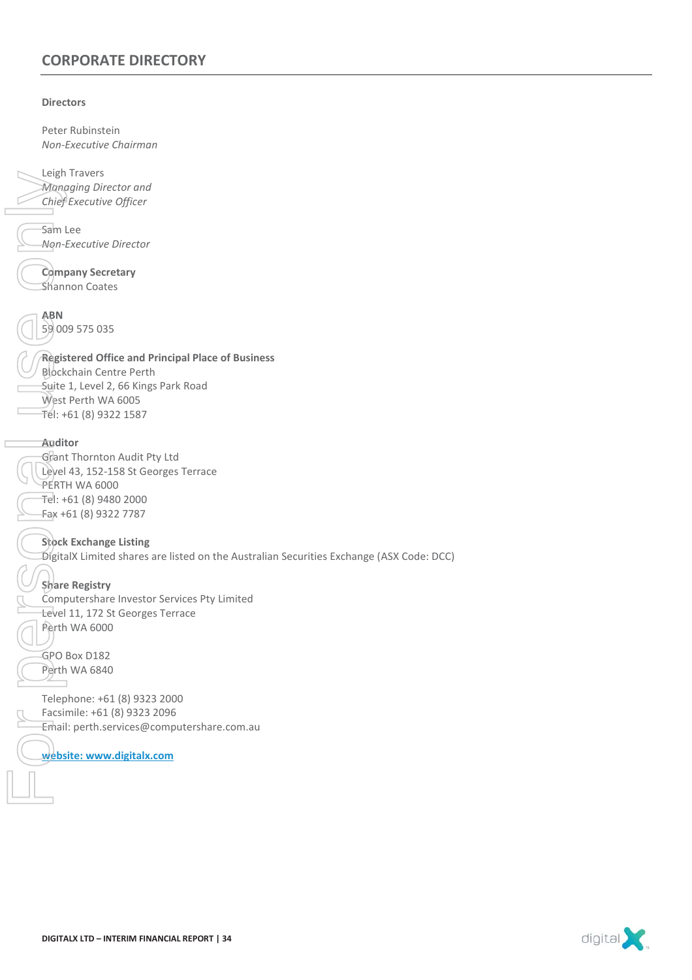### **CORPORATE DIRECTORY**

### **Directors**

Peter Rubinstein *Non-Executive Chairman*  Leigh Travers *Managing Director and Chief Executive Officer*  Sam Lee *Non-Executive Director*  **Company Secretary** Shannon Coates **ABN**  59 009 575 035 **Registered Office and Principal Place of Business**  Blockchain Centre Perth Suite 1, Level 2, 66 Kings Park Road West Perth WA 6005  $Tel: +61 (8) 9322 1587$ **Auditor**  Grant Thornton Audit Pty Ltd Level 43, 152-158 St Georges Terrace PERTH WA 6000 Tel: +61 (8) 9480 2000 Fax +61 (8) 9322 7787 **Stock Exchange Listing**  DigitalX Limited shares are listed on the Australian Securities Exchange (ASX Code: DCC) **Share Registry**  Computershare Investor Services Pty Limited Level 11, 172 St Georges Terrace Perth WA 6000 GPO Box D182 Perth WA 6840 Telephone: +61 (8) 9323 2000 Leign Travers<br>
Whanging Director and<br>
Chief Executive Officer<br>
Sam Lee<br>
Ngn-Executive Director<br>
Sambon Coates<br>
ABN<br>
Signon Secretary<br>
Shannon Coates<br>
ABN<br>
Signon Secretary<br>
Shannon Coates<br>
ABN<br>
Signon Secretary<br>
Shannon Co

Facsimile: +61 (8) 9323 2096 Email: perth.services@computershare.com.au

digital<sup>2</sup>